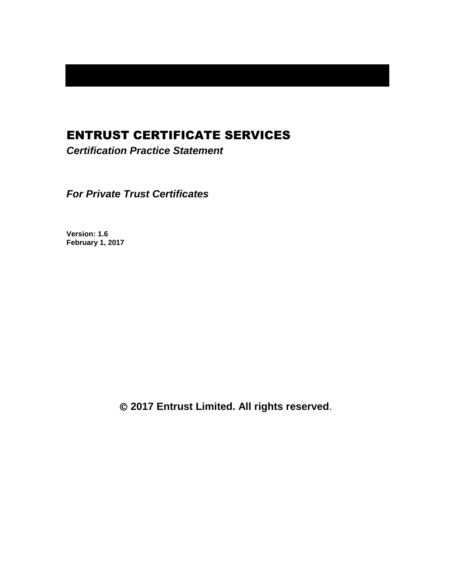# ENTRUST CERTIFICATE SERVICES

*Certification Practice Statement*

*For Private Trust Certificates*

**Version: 1.6 February 1, 2017**

**2017 Entrust Limited. All rights reserved**.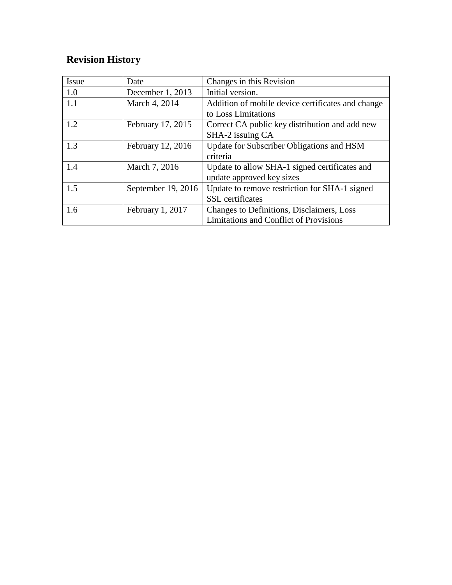# **Revision History**

| <b>Issue</b> | Date               | Changes in this Revision                          |
|--------------|--------------------|---------------------------------------------------|
| 1.0          | December 1, 2013   | Initial version.                                  |
| 1.1          | March 4, 2014      | Addition of mobile device certificates and change |
|              |                    | to Loss Limitations                               |
| 1.2          | February 17, 2015  | Correct CA public key distribution and add new    |
|              |                    | SHA-2 issuing CA                                  |
| 1.3          | February 12, 2016  | Update for Subscriber Obligations and HSM         |
|              |                    | criteria                                          |
| 1.4          | March 7, 2016      | Update to allow SHA-1 signed certificates and     |
|              |                    | update approved key sizes                         |
| 1.5          | September 19, 2016 | Update to remove restriction for SHA-1 signed     |
|              |                    | <b>SSL</b> certificates                           |
| 1.6          | February 1, 2017   | Changes to Definitions, Disclaimers, Loss         |
|              |                    | <b>Limitations and Conflict of Provisions</b>     |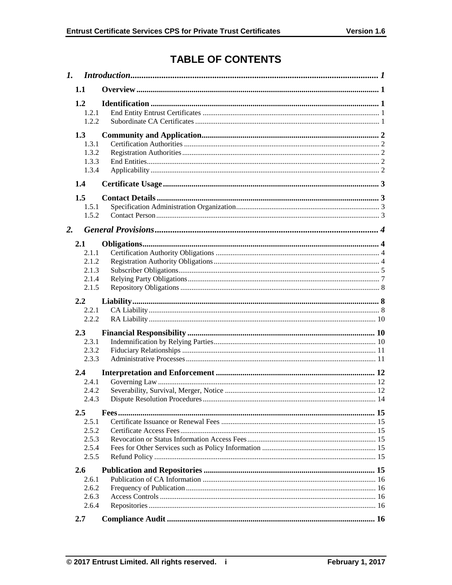# **TABLE OF CONTENTS**

|    | 1.1                                              |  |  |
|----|--------------------------------------------------|--|--|
|    | 1.2<br>1.2.1<br>1.2.2                            |  |  |
|    | 1.3<br>1.3.1<br>1.3.2<br>1.3.3<br>1.3.4          |  |  |
|    | 1.4                                              |  |  |
|    | 1.5<br>1.5.1<br>1.5.2                            |  |  |
| 2. |                                                  |  |  |
|    | 2.1<br>2.1.1<br>2.1.2<br>2.1.3<br>2.1.4<br>2.1.5 |  |  |
|    | $2.2\phantom{0}$<br>2.2.1<br>2.2.2               |  |  |
|    | 2.3<br>2.3.1<br>2.3.2<br>2.3.3                   |  |  |
|    | 2.4<br>2.4.1<br>2.4.2<br>2.4.3                   |  |  |
|    | 2.5<br>2.5.1<br>2.5.2<br>2.5.3<br>2.5.4<br>2.5.5 |  |  |
|    | 2.6<br>2.6.1<br>2.6.2<br>2.6.3<br>2.6.4          |  |  |
|    | 2.7                                              |  |  |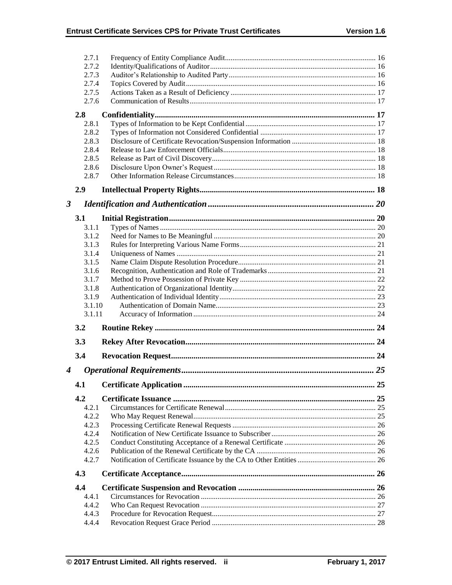|                      | 2.7.1          |  |
|----------------------|----------------|--|
|                      | 2.7.2          |  |
|                      | 2.7.3          |  |
|                      | 2.7.4          |  |
|                      | 2.7.5          |  |
|                      | 2.7.6          |  |
|                      | 2.8            |  |
|                      | 2.8.1          |  |
|                      | 2.8.2          |  |
|                      | 2.8.3          |  |
|                      | 2.8.4          |  |
|                      | 2.8.5          |  |
|                      | 2.8.6          |  |
|                      | 2.8.7          |  |
|                      | 2.9            |  |
| $\boldsymbol{\beta}$ |                |  |
|                      | 3.1            |  |
|                      | 3.1.1          |  |
|                      | 3.1.2          |  |
|                      | 3.1.3          |  |
|                      | 3.1.4          |  |
|                      | 3.1.5          |  |
|                      | 3.1.6          |  |
|                      | 3.1.7          |  |
|                      | 3.1.8          |  |
|                      |                |  |
|                      | 3.1.9          |  |
|                      | 3.1.10         |  |
|                      | 3.1.11         |  |
|                      | 3.2            |  |
|                      | 3.3            |  |
|                      | 3.4            |  |
|                      |                |  |
| 4                    |                |  |
|                      |                |  |
|                      | 4.2            |  |
|                      | 4.2.1          |  |
|                      | 4.2.2          |  |
|                      | 4.2.3          |  |
|                      | 4.2.4          |  |
|                      | 4.2.5          |  |
|                      | 4.2.6          |  |
|                      | 4.2.7          |  |
|                      | 4.3            |  |
|                      | 4.4            |  |
|                      | 4.4.1          |  |
|                      | 4.4.2          |  |
|                      | 4.4.3<br>4.4.4 |  |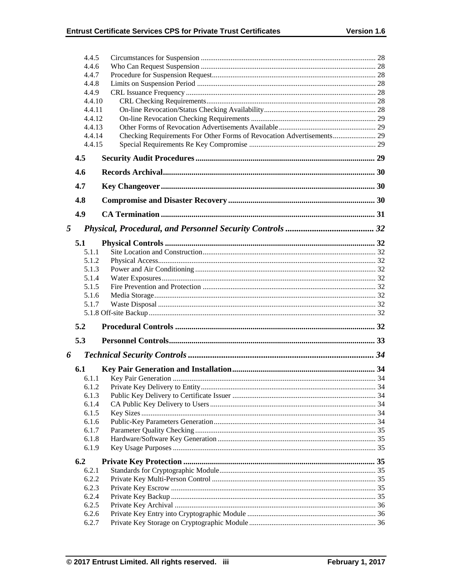|   | 4.4.5<br>4.4.6<br>4.4.7<br>4.4.8<br>4.4.9<br>4.4.10<br>4.4.11<br>4.4.12<br>4.4.13<br>4.4.14<br>4.4.15 |  |
|---|-------------------------------------------------------------------------------------------------------|--|
|   | 4.5                                                                                                   |  |
|   | 4.6                                                                                                   |  |
|   | 4.7                                                                                                   |  |
|   | 4.8                                                                                                   |  |
|   | 4.9                                                                                                   |  |
| 5 |                                                                                                       |  |
|   |                                                                                                       |  |
|   | 5.1<br>5.1.1                                                                                          |  |
|   | 5.1.2                                                                                                 |  |
|   | 5.1.3                                                                                                 |  |
|   | 5.1.4                                                                                                 |  |
|   | 5.1.5                                                                                                 |  |
|   | 5.1.6                                                                                                 |  |
|   | 5.1.7                                                                                                 |  |
|   |                                                                                                       |  |
|   | 5.2                                                                                                   |  |
|   | 5.3                                                                                                   |  |
| 6 |                                                                                                       |  |
|   | 6.1                                                                                                   |  |
|   | 6.1.1                                                                                                 |  |
|   | 6.1.2                                                                                                 |  |
|   | 6.1.3                                                                                                 |  |
|   | 6.1.4                                                                                                 |  |
|   | 6.1.5<br>6.1.6                                                                                        |  |
|   | 6.1.7                                                                                                 |  |
|   | 6.1.8                                                                                                 |  |
|   | 6.1.9                                                                                                 |  |
|   | 6.2                                                                                                   |  |
|   | 6.2.1                                                                                                 |  |
|   | 6.2.2                                                                                                 |  |
|   | 6.2.3                                                                                                 |  |
|   | 6.2.4                                                                                                 |  |
|   | 6.2.5                                                                                                 |  |
|   | 6.2.6<br>6.2.7                                                                                        |  |
|   |                                                                                                       |  |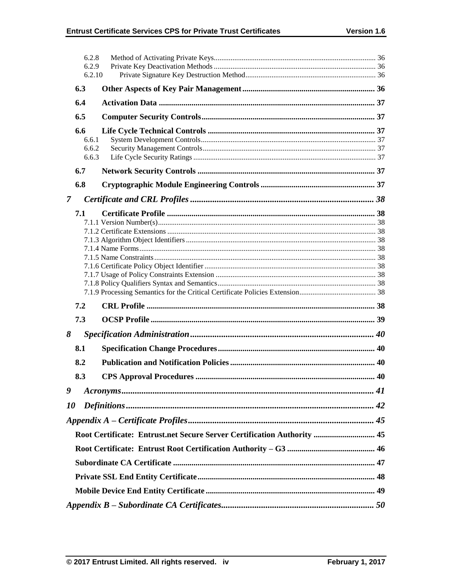|                | 6.2.8<br>6.2.9<br>6.2.10       |                                                                         |  |  |  |
|----------------|--------------------------------|-------------------------------------------------------------------------|--|--|--|
|                | 6.3                            |                                                                         |  |  |  |
|                | 6.4                            |                                                                         |  |  |  |
|                | 6.5                            |                                                                         |  |  |  |
|                | 6.6<br>6.6.1<br>6.6.2<br>6.6.3 |                                                                         |  |  |  |
|                | 6.7                            |                                                                         |  |  |  |
|                | 6.8                            |                                                                         |  |  |  |
| $\overline{7}$ |                                |                                                                         |  |  |  |
|                | 7.1                            |                                                                         |  |  |  |
|                | 7.2                            |                                                                         |  |  |  |
|                | 7.3                            |                                                                         |  |  |  |
| 8              |                                |                                                                         |  |  |  |
|                | 8.1                            |                                                                         |  |  |  |
|                | 8.2                            |                                                                         |  |  |  |
|                | 8.3                            |                                                                         |  |  |  |
| 9              |                                |                                                                         |  |  |  |
| <i>10</i>      |                                |                                                                         |  |  |  |
|                |                                |                                                                         |  |  |  |
|                |                                | Root Certificate: Entrust.net Secure Server Certification Authority  45 |  |  |  |
|                |                                |                                                                         |  |  |  |
|                |                                |                                                                         |  |  |  |
|                |                                |                                                                         |  |  |  |
|                |                                |                                                                         |  |  |  |
|                |                                |                                                                         |  |  |  |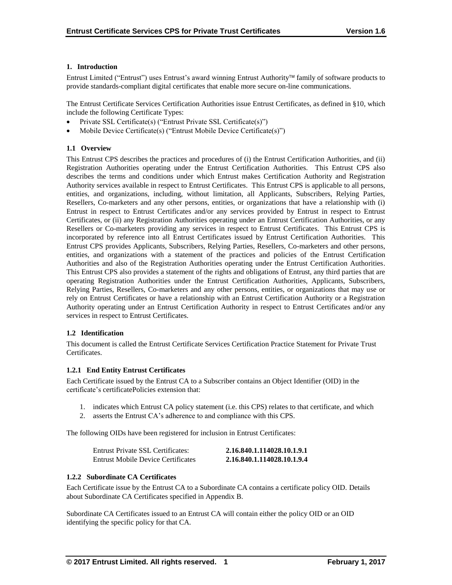## **1. Introduction**

Entrust Limited ("Entrust") uses Entrust's award winning Entrust Authority family of software products to provide standards-compliant digital certificates that enable more secure on-line communications.

The Entrust Certificate Services Certification Authorities issue Entrust Certificates, as defined in §10, which include the following Certificate Types:

- Private SSL Certificate(s) ("Entrust Private SSL Certificate(s)")
- Mobile Device Certificate(s) ("Entrust Mobile Device Certificate(s)")

## **1.1 Overview**

This Entrust CPS describes the practices and procedures of (i) the Entrust Certification Authorities, and (ii) Registration Authorities operating under the Entrust Certification Authorities. This Entrust CPS also describes the terms and conditions under which Entrust makes Certification Authority and Registration Authority services available in respect to Entrust Certificates. This Entrust CPS is applicable to all persons, entities, and organizations, including, without limitation, all Applicants, Subscribers, Relying Parties, Resellers, Co-marketers and any other persons, entities, or organizations that have a relationship with (i) Entrust in respect to Entrust Certificates and/or any services provided by Entrust in respect to Entrust Certificates, or (ii) any Registration Authorities operating under an Entrust Certification Authorities, or any Resellers or Co-marketers providing any services in respect to Entrust Certificates. This Entrust CPS is incorporated by reference into all Entrust Certificates issued by Entrust Certification Authorities. This Entrust CPS provides Applicants, Subscribers, Relying Parties, Resellers, Co-marketers and other persons, entities, and organizations with a statement of the practices and policies of the Entrust Certification Authorities and also of the Registration Authorities operating under the Entrust Certification Authorities. This Entrust CPS also provides a statement of the rights and obligations of Entrust, any third parties that are operating Registration Authorities under the Entrust Certification Authorities, Applicants, Subscribers, Relying Parties, Resellers, Co-marketers and any other persons, entities, or organizations that may use or rely on Entrust Certificates or have a relationship with an Entrust Certification Authority or a Registration Authority operating under an Entrust Certification Authority in respect to Entrust Certificates and/or any services in respect to Entrust Certificates.

#### **1.2 Identification**

This document is called the Entrust Certificate Services Certification Practice Statement for Private Trust Certificates.

#### **1.2.1 End Entity Entrust Certificates**

Each Certificate issued by the Entrust CA to a Subscriber contains an Object Identifier (OID) in the certificate's certificatePolicies extension that:

- 1. indicates which Entrust CA policy statement (i.e. this CPS) relates to that certificate, and which
- 2. asserts the Entrust CA's adherence to and compliance with this CPS.

The following OIDs have been registered for inclusion in Entrust Certificates:

| Entrust Private SSL Certificates:  | 2.16.840.1.114028.10.1.9.1 |
|------------------------------------|----------------------------|
| Entrust Mobile Device Certificates | 2.16.840.1.114028.10.1.9.4 |

## **1.2.2 Subordinate CA Certificates**

Each Certificate issue by the Entrust CA to a Subordinate CA contains a certificate policy OID. Details about Subordinate CA Certificates specified in Appendix B.

Subordinate CA Certificates issued to an Entrust CA will contain either the policy OID or an OID identifying the specific policy for that CA.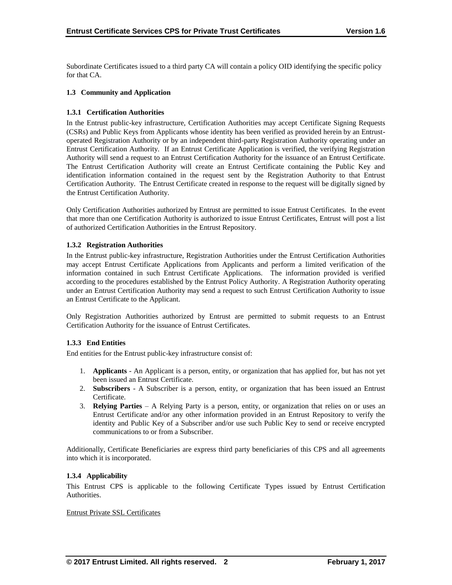Subordinate Certificates issued to a third party CA will contain a policy OID identifying the specific policy for that CA.

## **1.3 Community and Application**

## **1.3.1 Certification Authorities**

In the Entrust public-key infrastructure, Certification Authorities may accept Certificate Signing Requests (CSRs) and Public Keys from Applicants whose identity has been verified as provided herein by an Entrustoperated Registration Authority or by an independent third-party Registration Authority operating under an Entrust Certification Authority. If an Entrust Certificate Application is verified, the verifying Registration Authority will send a request to an Entrust Certification Authority for the issuance of an Entrust Certificate. The Entrust Certification Authority will create an Entrust Certificate containing the Public Key and identification information contained in the request sent by the Registration Authority to that Entrust Certification Authority. The Entrust Certificate created in response to the request will be digitally signed by the Entrust Certification Authority.

Only Certification Authorities authorized by Entrust are permitted to issue Entrust Certificates. In the event that more than one Certification Authority is authorized to issue Entrust Certificates, Entrust will post a list of authorized Certification Authorities in the Entrust Repository.

## **1.3.2 Registration Authorities**

In the Entrust public-key infrastructure, Registration Authorities under the Entrust Certification Authorities may accept Entrust Certificate Applications from Applicants and perform a limited verification of the information contained in such Entrust Certificate Applications. The information provided is verified according to the procedures established by the Entrust Policy Authority. A Registration Authority operating under an Entrust Certification Authority may send a request to such Entrust Certification Authority to issue an Entrust Certificate to the Applicant.

Only Registration Authorities authorized by Entrust are permitted to submit requests to an Entrust Certification Authority for the issuance of Entrust Certificates.

#### **1.3.3 End Entities**

End entities for the Entrust public-key infrastructure consist of:

- 1. **Applicants** An Applicant is a person, entity, or organization that has applied for, but has not yet been issued an Entrust Certificate.
- 2. **Subscribers**  A Subscriber is a person, entity, or organization that has been issued an Entrust Certificate.
- 3. **Relying Parties**  A Relying Party is a person, entity, or organization that relies on or uses an Entrust Certificate and/or any other information provided in an Entrust Repository to verify the identity and Public Key of a Subscriber and/or use such Public Key to send or receive encrypted communications to or from a Subscriber.

Additionally, Certificate Beneficiaries are express third party beneficiaries of this CPS and all agreements into which it is incorporated.

#### **1.3.4 Applicability**

This Entrust CPS is applicable to the following Certificate Types issued by Entrust Certification Authorities.

#### Entrust Private SSL Certificates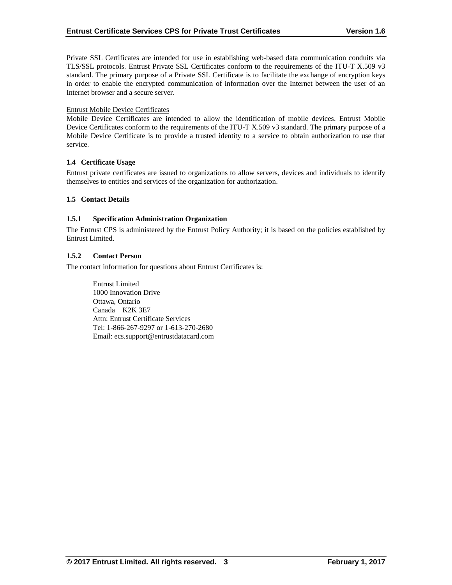Private SSL Certificates are intended for use in establishing web-based data communication conduits via TLS/SSL protocols. Entrust Private SSL Certificates conform to the requirements of the ITU-T X.509 v3 standard. The primary purpose of a Private SSL Certificate is to facilitate the exchange of encryption keys in order to enable the encrypted communication of information over the Internet between the user of an Internet browser and a secure server.

#### Entrust Mobile Device Certificates

Mobile Device Certificates are intended to allow the identification of mobile devices. Entrust Mobile Device Certificates conform to the requirements of the ITU-T X.509 v3 standard. The primary purpose of a Mobile Device Certificate is to provide a trusted identity to a service to obtain authorization to use that service.

#### **1.4 Certificate Usage**

Entrust private certificates are issued to organizations to allow servers, devices and individuals to identify themselves to entities and services of the organization for authorization.

## **1.5 Contact Details**

#### **1.5.1 Specification Administration Organization**

The Entrust CPS is administered by the Entrust Policy Authority; it is based on the policies established by Entrust Limited.

#### **1.5.2 Contact Person**

The contact information for questions about Entrust Certificates is:

Entrust Limited 1000 Innovation Drive Ottawa, Ontario Canada K2K 3E7 Attn: Entrust Certificate Services Tel: 1-866-267-9297 or 1-613-270-2680 Email: ecs.support@entrustdatacard.com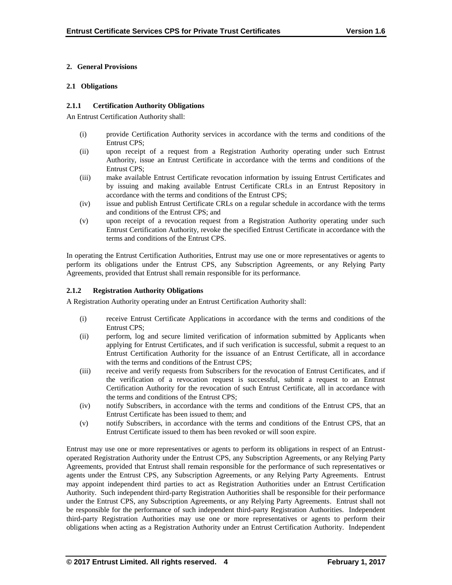## **2. General Provisions**

#### **2.1 Obligations**

#### **2.1.1 Certification Authority Obligations**

An Entrust Certification Authority shall:

- (i) provide Certification Authority services in accordance with the terms and conditions of the Entrust CPS;
- (ii) upon receipt of a request from a Registration Authority operating under such Entrust Authority, issue an Entrust Certificate in accordance with the terms and conditions of the Entrust CPS;
- (iii) make available Entrust Certificate revocation information by issuing Entrust Certificates and by issuing and making available Entrust Certificate CRLs in an Entrust Repository in accordance with the terms and conditions of the Entrust CPS;
- (iv) issue and publish Entrust Certificate CRLs on a regular schedule in accordance with the terms and conditions of the Entrust CPS; and
- (v) upon receipt of a revocation request from a Registration Authority operating under such Entrust Certification Authority, revoke the specified Entrust Certificate in accordance with the terms and conditions of the Entrust CPS.

In operating the Entrust Certification Authorities, Entrust may use one or more representatives or agents to perform its obligations under the Entrust CPS, any Subscription Agreements, or any Relying Party Agreements, provided that Entrust shall remain responsible for its performance.

## **2.1.2 Registration Authority Obligations**

A Registration Authority operating under an Entrust Certification Authority shall:

- (i) receive Entrust Certificate Applications in accordance with the terms and conditions of the Entrust CPS;
- (ii) perform, log and secure limited verification of information submitted by Applicants when applying for Entrust Certificates, and if such verification is successful, submit a request to an Entrust Certification Authority for the issuance of an Entrust Certificate, all in accordance with the terms and conditions of the Entrust CPS;
- (iii) receive and verify requests from Subscribers for the revocation of Entrust Certificates, and if the verification of a revocation request is successful, submit a request to an Entrust Certification Authority for the revocation of such Entrust Certificate, all in accordance with the terms and conditions of the Entrust CPS;
- (iv) notify Subscribers, in accordance with the terms and conditions of the Entrust CPS, that an Entrust Certificate has been issued to them; and
- (v) notify Subscribers, in accordance with the terms and conditions of the Entrust CPS, that an Entrust Certificate issued to them has been revoked or will soon expire.

Entrust may use one or more representatives or agents to perform its obligations in respect of an Entrustoperated Registration Authority under the Entrust CPS, any Subscription Agreements, or any Relying Party Agreements, provided that Entrust shall remain responsible for the performance of such representatives or agents under the Entrust CPS, any Subscription Agreements, or any Relying Party Agreements. Entrust may appoint independent third parties to act as Registration Authorities under an Entrust Certification Authority. Such independent third-party Registration Authorities shall be responsible for their performance under the Entrust CPS, any Subscription Agreements, or any Relying Party Agreements. Entrust shall not be responsible for the performance of such independent third-party Registration Authorities. Independent third-party Registration Authorities may use one or more representatives or agents to perform their obligations when acting as a Registration Authority under an Entrust Certification Authority. Independent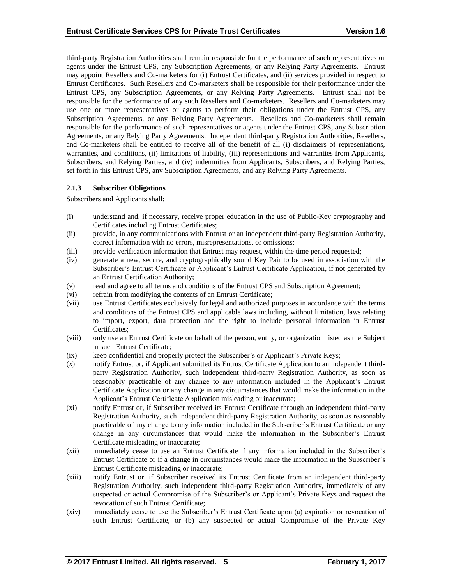third-party Registration Authorities shall remain responsible for the performance of such representatives or agents under the Entrust CPS, any Subscription Agreements, or any Relying Party Agreements. Entrust may appoint Resellers and Co-marketers for (i) Entrust Certificates, and (ii) services provided in respect to Entrust Certificates. Such Resellers and Co-marketers shall be responsible for their performance under the Entrust CPS, any Subscription Agreements, or any Relying Party Agreements. Entrust shall not be responsible for the performance of any such Resellers and Co-marketers. Resellers and Co-marketers may use one or more representatives or agents to perform their obligations under the Entrust CPS, any Subscription Agreements, or any Relying Party Agreements. Resellers and Co-marketers shall remain responsible for the performance of such representatives or agents under the Entrust CPS, any Subscription Agreements, or any Relying Party Agreements. Independent third-party Registration Authorities, Resellers, and Co-marketers shall be entitled to receive all of the benefit of all (i) disclaimers of representations, warranties, and conditions, (ii) limitations of liability, (iii) representations and warranties from Applicants, Subscribers, and Relying Parties, and (iv) indemnities from Applicants, Subscribers, and Relying Parties, set forth in this Entrust CPS, any Subscription Agreements, and any Relying Party Agreements.

#### **2.1.3 Subscriber Obligations**

Subscribers and Applicants shall:

- (i) understand and, if necessary, receive proper education in the use of Public-Key cryptography and Certificates including Entrust Certificates;
- (ii) provide, in any communications with Entrust or an independent third-party Registration Authority, correct information with no errors, misrepresentations, or omissions;
- (iii) provide verification information that Entrust may request, within the time period requested;
- (iv) generate a new, secure, and cryptographically sound Key Pair to be used in association with the Subscriber's Entrust Certificate or Applicant's Entrust Certificate Application, if not generated by an Entrust Certification Authority;
- (v) read and agree to all terms and conditions of the Entrust CPS and Subscription Agreement;
- (vi) refrain from modifying the contents of an Entrust Certificate;
- (vii) use Entrust Certificates exclusively for legal and authorized purposes in accordance with the terms and conditions of the Entrust CPS and applicable laws including, without limitation, laws relating to import, export, data protection and the right to include personal information in Entrust Certificates;
- (viii) only use an Entrust Certificate on behalf of the person, entity, or organization listed as the Subject in such Entrust Certificate;
- (ix) keep confidential and properly protect the Subscriber's or Applicant's Private Keys;
- (x) notify Entrust or, if Applicant submitted its Entrust Certificate Application to an independent thirdparty Registration Authority, such independent third-party Registration Authority, as soon as reasonably practicable of any change to any information included in the Applicant's Entrust Certificate Application or any change in any circumstances that would make the information in the Applicant's Entrust Certificate Application misleading or inaccurate;
- (xi) notify Entrust or, if Subscriber received its Entrust Certificate through an independent third-party Registration Authority, such independent third-party Registration Authority, as soon as reasonably practicable of any change to any information included in the Subscriber's Entrust Certificate or any change in any circumstances that would make the information in the Subscriber's Entrust Certificate misleading or inaccurate;
- (xii) immediately cease to use an Entrust Certificate if any information included in the Subscriber's Entrust Certificate or if a change in circumstances would make the information in the Subscriber's Entrust Certificate misleading or inaccurate;
- (xiii) notify Entrust or, if Subscriber received its Entrust Certificate from an independent third-party Registration Authority, such independent third-party Registration Authority, immediately of any suspected or actual Compromise of the Subscriber's or Applicant's Private Keys and request the revocation of such Entrust Certificate;
- (xiv) immediately cease to use the Subscriber's Entrust Certificate upon (a) expiration or revocation of such Entrust Certificate, or (b) any suspected or actual Compromise of the Private Key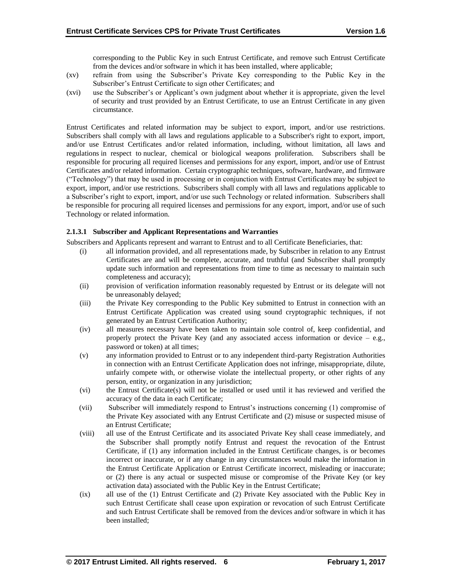corresponding to the Public Key in such Entrust Certificate, and remove such Entrust Certificate from the devices and/or software in which it has been installed, where applicable;

- (xv) refrain from using the Subscriber's Private Key corresponding to the Public Key in the Subscriber's Entrust Certificate to sign other Certificates; and
- (xvi) use the Subscriber's or Applicant's own judgment about whether it is appropriate, given the level of security and trust provided by an Entrust Certificate, to use an Entrust Certificate in any given circumstance.

Entrust Certificates and related information may be subject to export, import, and/or use restrictions. Subscribers shall comply with all laws and regulations applicable to a Subscriber's right to export, import, and/or use Entrust Certificates and/or related information, including, without limitation, all laws and regulations in respect to nuclear, chemical or biological weapons proliferation. Subscribers shall be responsible for procuring all required licenses and permissions for any export, import, and/or use of Entrust Certificates and/or related information. Certain cryptographic techniques, software, hardware, and firmware ("Technology") that may be used in processing or in conjunction with Entrust Certificates may be subject to export, import, and/or use restrictions. Subscribers shall comply with all laws and regulations applicable to a Subscriber's right to export, import, and/or use such Technology or related information. Subscribers shall be responsible for procuring all required licenses and permissions for any export, import, and/or use of such Technology or related information.

## **2.1.3.1 Subscriber and Applicant Representations and Warranties**

Subscribers and Applicants represent and warrant to Entrust and to all Certificate Beneficiaries, that:

- (i) all information provided, and all representations made, by Subscriber in relation to any Entrust Certificates are and will be complete, accurate, and truthful (and Subscriber shall promptly update such information and representations from time to time as necessary to maintain such completeness and accuracy);
- (ii) provision of verification information reasonably requested by Entrust or its delegate will not be unreasonably delayed;
- (iii) the Private Key corresponding to the Public Key submitted to Entrust in connection with an Entrust Certificate Application was created using sound cryptographic techniques, if not generated by an Entrust Certification Authority;
- (iv) all measures necessary have been taken to maintain sole control of, keep confidential, and properly protect the Private Key (and any associated access information or device – e.g., password or token) at all times;
- (v) any information provided to Entrust or to any independent third-party Registration Authorities in connection with an Entrust Certificate Application does not infringe, misappropriate, dilute, unfairly compete with, or otherwise violate the intellectual property, or other rights of any person, entity, or organization in any jurisdiction;
- (vi) the Entrust Certificate(s) will not be installed or used until it has reviewed and verified the accuracy of the data in each Certificate;
- (vii) Subscriber will immediately respond to Entrust's instructions concerning (1) compromise of the Private Key associated with any Entrust Certificate and (2) misuse or suspected misuse of an Entrust Certificate;
- (viii) all use of the Entrust Certificate and its associated Private Key shall cease immediately, and the Subscriber shall promptly notify Entrust and request the revocation of the Entrust Certificate, if (1) any information included in the Entrust Certificate changes, is or becomes incorrect or inaccurate, or if any change in any circumstances would make the information in the Entrust Certificate Application or Entrust Certificate incorrect, misleading or inaccurate; or (2) there is any actual or suspected misuse or compromise of the Private Key (or key activation data) associated with the Public Key in the Entrust Certificate;
- (ix) all use of the (1) Entrust Certificate and (2) Private Key associated with the Public Key in such Entrust Certificate shall cease upon expiration or revocation of such Entrust Certificate and such Entrust Certificate shall be removed from the devices and/or software in which it has been installed;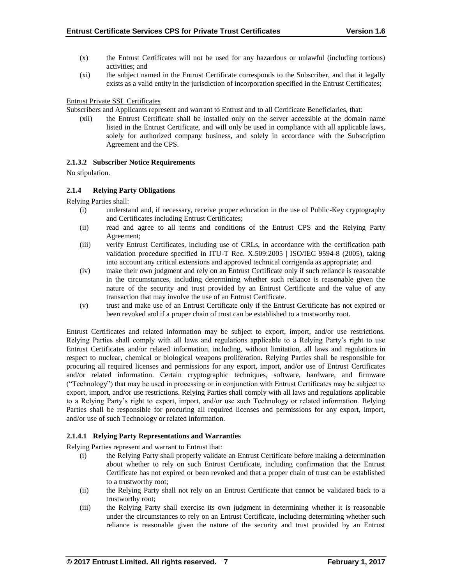- (x) the Entrust Certificates will not be used for any hazardous or unlawful (including tortious) activities; and
- (xi) the subject named in the Entrust Certificate corresponds to the Subscriber, and that it legally exists as a valid entity in the jurisdiction of incorporation specified in the Entrust Certificates;

## Entrust Private SSL Certificates

Subscribers and Applicants represent and warrant to Entrust and to all Certificate Beneficiaries, that:

(xii) the Entrust Certificate shall be installed only on the server accessible at the domain name listed in the Entrust Certificate, and will only be used in compliance with all applicable laws, solely for authorized company business, and solely in accordance with the Subscription Agreement and the CPS.

## **2.1.3.2 Subscriber Notice Requirements**

No stipulation.

## **2.1.4 Relying Party Obligations**

Relying Parties shall:

- (i) understand and, if necessary, receive proper education in the use of Public-Key cryptography and Certificates including Entrust Certificates;
- (ii) read and agree to all terms and conditions of the Entrust CPS and the Relying Party Agreement;
- (iii) verify Entrust Certificates, including use of CRLs, in accordance with the certification path validation procedure specified in ITU-T Rec. X.509:2005 | ISO/IEC 9594-8 (2005), taking into account any critical extensions and approved technical corrigenda as appropriate; and
- (iv) make their own judgment and rely on an Entrust Certificate only if such reliance is reasonable in the circumstances, including determining whether such reliance is reasonable given the nature of the security and trust provided by an Entrust Certificate and the value of any transaction that may involve the use of an Entrust Certificate.
- (v) trust and make use of an Entrust Certificate only if the Entrust Certificate has not expired or been revoked and if a proper chain of trust can be established to a trustworthy root.

Entrust Certificates and related information may be subject to export, import, and/or use restrictions. Relying Parties shall comply with all laws and regulations applicable to a Relying Party's right to use Entrust Certificates and/or related information, including, without limitation, all laws and regulations in respect to nuclear, chemical or biological weapons proliferation. Relying Parties shall be responsible for procuring all required licenses and permissions for any export, import, and/or use of Entrust Certificates and/or related information. Certain cryptographic techniques, software, hardware, and firmware ("Technology") that may be used in processing or in conjunction with Entrust Certificates may be subject to export, import, and/or use restrictions. Relying Parties shall comply with all laws and regulations applicable to a Relying Party's right to export, import, and/or use such Technology or related information. Relying Parties shall be responsible for procuring all required licenses and permissions for any export, import, and/or use of such Technology or related information.

# **2.1.4.1 Relying Party Representations and Warranties**

Relying Parties represent and warrant to Entrust that:

- (i) the Relying Party shall properly validate an Entrust Certificate before making a determination about whether to rely on such Entrust Certificate, including confirmation that the Entrust Certificate has not expired or been revoked and that a proper chain of trust can be established to a trustworthy root;
- (ii) the Relying Party shall not rely on an Entrust Certificate that cannot be validated back to a trustworthy root;
- (iii) the Relying Party shall exercise its own judgment in determining whether it is reasonable under the circumstances to rely on an Entrust Certificate, including determining whether such reliance is reasonable given the nature of the security and trust provided by an Entrust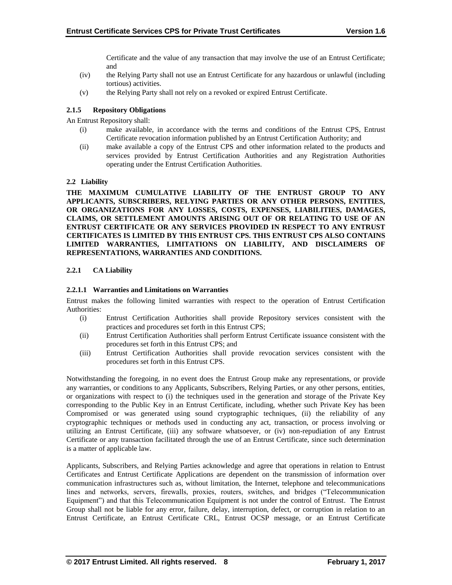Certificate and the value of any transaction that may involve the use of an Entrust Certificate; and

- (iv) the Relying Party shall not use an Entrust Certificate for any hazardous or unlawful (including tortious) activities.
- (v) the Relying Party shall not rely on a revoked or expired Entrust Certificate.

# **2.1.5 Repository Obligations**

An Entrust Repository shall:

- (i) make available, in accordance with the terms and conditions of the Entrust CPS, Entrust Certificate revocation information published by an Entrust Certification Authority; and
- (ii) make available a copy of the Entrust CPS and other information related to the products and services provided by Entrust Certification Authorities and any Registration Authorities operating under the Entrust Certification Authorities.

## **2.2 Liability**

**THE MAXIMUM CUMULATIVE LIABILITY OF THE ENTRUST GROUP TO ANY APPLICANTS, SUBSCRIBERS, RELYING PARTIES OR ANY OTHER PERSONS, ENTITIES, OR ORGANIZATIONS FOR ANY LOSSES, COSTS, EXPENSES, LIABILITIES, DAMAGES, CLAIMS, OR SETTLEMENT AMOUNTS ARISING OUT OF OR RELATING TO USE OF AN ENTRUST CERTIFICATE OR ANY SERVICES PROVIDED IN RESPECT TO ANY ENTRUST CERTIFICATES IS LIMITED BY THIS ENTRUST CPS. THIS ENTRUST CPS ALSO CONTAINS LIMITED WARRANTIES, LIMITATIONS ON LIABILITY, AND DISCLAIMERS OF REPRESENTATIONS, WARRANTIES AND CONDITIONS.**

## **2.2.1 CA Liability**

## **2.2.1.1 Warranties and Limitations on Warranties**

Entrust makes the following limited warranties with respect to the operation of Entrust Certification Authorities:

- (i) Entrust Certification Authorities shall provide Repository services consistent with the practices and procedures set forth in this Entrust CPS;
- (ii) Entrust Certification Authorities shall perform Entrust Certificate issuance consistent with the procedures set forth in this Entrust CPS; and
- (iii) Entrust Certification Authorities shall provide revocation services consistent with the procedures set forth in this Entrust CPS.

Notwithstanding the foregoing, in no event does the Entrust Group make any representations, or provide any warranties, or conditions to any Applicants, Subscribers, Relying Parties, or any other persons, entities, or organizations with respect to (i) the techniques used in the generation and storage of the Private Key corresponding to the Public Key in an Entrust Certificate, including, whether such Private Key has been Compromised or was generated using sound cryptographic techniques, (ii) the reliability of any cryptographic techniques or methods used in conducting any act, transaction, or process involving or utilizing an Entrust Certificate, (iii) any software whatsoever, or (iv) non-repudiation of any Entrust Certificate or any transaction facilitated through the use of an Entrust Certificate, since such determination is a matter of applicable law.

Applicants, Subscribers, and Relying Parties acknowledge and agree that operations in relation to Entrust Certificates and Entrust Certificate Applications are dependent on the transmission of information over communication infrastructures such as, without limitation, the Internet, telephone and telecommunications lines and networks, servers, firewalls, proxies, routers, switches, and bridges ("Telecommunication Equipment") and that this Telecommunication Equipment is not under the control of Entrust. The Entrust Group shall not be liable for any error, failure, delay, interruption, defect, or corruption in relation to an Entrust Certificate, an Entrust Certificate CRL, Entrust OCSP message, or an Entrust Certificate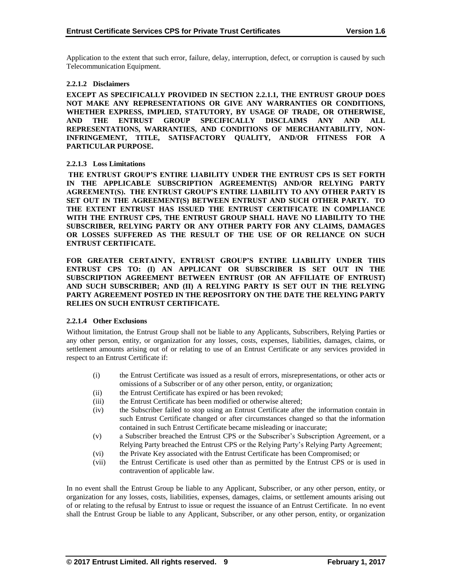Application to the extent that such error, failure, delay, interruption, defect, or corruption is caused by such Telecommunication Equipment.

#### **2.2.1.2 Disclaimers**

**EXCEPT AS SPECIFICALLY PROVIDED IN SECTION 2.2.1.1, THE ENTRUST GROUP DOES NOT MAKE ANY REPRESENTATIONS OR GIVE ANY WARRANTIES OR CONDITIONS, WHETHER EXPRESS, IMPLIED, STATUTORY, BY USAGE OF TRADE, OR OTHERWISE, AND THE ENTRUST GROUP SPECIFICALLY DISCLAIMS ANY AND ALL REPRESENTATIONS, WARRANTIES, AND CONDITIONS OF MERCHANTABILITY, NON-INFRINGEMENT, TITLE, SATISFACTORY QUALITY, AND/OR FITNESS FOR A PARTICULAR PURPOSE.**

#### **2.2.1.3 Loss Limitations**

**THE ENTRUST GROUP'S ENTIRE LIABILITY UNDER THE ENTRUST CPS IS SET FORTH IN THE APPLICABLE SUBSCRIPTION AGREEMENT(S) AND/OR RELYING PARTY AGREEMENT(S). THE ENTRUST GROUP'S ENTIRE LIABILITY TO ANY OTHER PARTY IS SET OUT IN THE AGREEMENT(S) BETWEEN ENTRUST AND SUCH OTHER PARTY. TO THE EXTENT ENTRUST HAS ISSUED THE ENTRUST CERTIFICATE IN COMPLIANCE WITH THE ENTRUST CPS, THE ENTRUST GROUP SHALL HAVE NO LIABILITY TO THE SUBSCRIBER, RELYING PARTY OR ANY OTHER PARTY FOR ANY CLAIMS, DAMAGES OR LOSSES SUFFERED AS THE RESULT OF THE USE OF OR RELIANCE ON SUCH ENTRUST CERTIFICATE.**

**FOR GREATER CERTAINTY, ENTRUST GROUP'S ENTIRE LIABILITY UNDER THIS ENTRUST CPS TO: (I) AN APPLICANT OR SUBSCRIBER IS SET OUT IN THE SUBSCRIPTION AGREEMENT BETWEEN ENTRUST (OR AN AFFILIATE OF ENTRUST) AND SUCH SUBSCRIBER; AND (II) A RELYING PARTY IS SET OUT IN THE RELYING PARTY AGREEMENT POSTED IN THE REPOSITORY ON THE DATE THE RELYING PARTY RELIES ON SUCH ENTRUST CERTIFICATE.**

#### **2.2.1.4 Other Exclusions**

Without limitation, the Entrust Group shall not be liable to any Applicants, Subscribers, Relying Parties or any other person, entity, or organization for any losses, costs, expenses, liabilities, damages, claims, or settlement amounts arising out of or relating to use of an Entrust Certificate or any services provided in respect to an Entrust Certificate if:

- (i) the Entrust Certificate was issued as a result of errors, misrepresentations, or other acts or omissions of a Subscriber or of any other person, entity, or organization;
- (ii) the Entrust Certificate has expired or has been revoked;
- (iii) the Entrust Certificate has been modified or otherwise altered;
- (iv) the Subscriber failed to stop using an Entrust Certificate after the information contain in such Entrust Certificate changed or after circumstances changed so that the information contained in such Entrust Certificate became misleading or inaccurate;
- (v) a Subscriber breached the Entrust CPS or the Subscriber's Subscription Agreement, or a Relying Party breached the Entrust CPS or the Relying Party's Relying Party Agreement;
- (vi) the Private Key associated with the Entrust Certificate has been Compromised; or
- (vii) the Entrust Certificate is used other than as permitted by the Entrust CPS or is used in contravention of applicable law.

In no event shall the Entrust Group be liable to any Applicant, Subscriber, or any other person, entity, or organization for any losses, costs, liabilities, expenses, damages, claims, or settlement amounts arising out of or relating to the refusal by Entrust to issue or request the issuance of an Entrust Certificate. In no event shall the Entrust Group be liable to any Applicant, Subscriber, or any other person, entity, or organization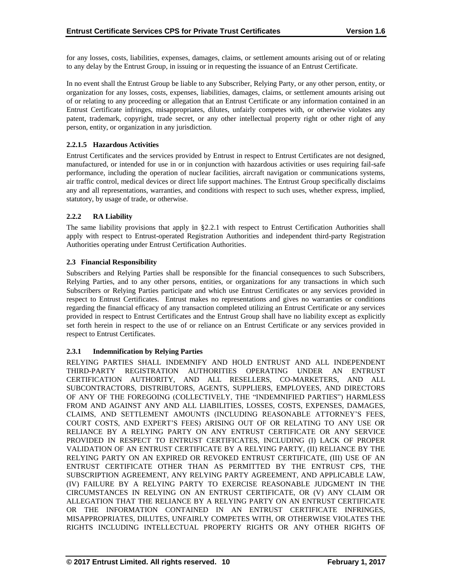for any losses, costs, liabilities, expenses, damages, claims, or settlement amounts arising out of or relating to any delay by the Entrust Group, in issuing or in requesting the issuance of an Entrust Certificate.

In no event shall the Entrust Group be liable to any Subscriber, Relying Party, or any other person, entity, or organization for any losses, costs, expenses, liabilities, damages, claims, or settlement amounts arising out of or relating to any proceeding or allegation that an Entrust Certificate or any information contained in an Entrust Certificate infringes, misappropriates, dilutes, unfairly competes with, or otherwise violates any patent, trademark, copyright, trade secret, or any other intellectual property right or other right of any person, entity, or organization in any jurisdiction.

## **2.2.1.5 Hazardous Activities**

Entrust Certificates and the services provided by Entrust in respect to Entrust Certificates are not designed, manufactured, or intended for use in or in conjunction with hazardous activities or uses requiring fail-safe performance, including the operation of nuclear facilities, aircraft navigation or communications systems, air traffic control, medical devices or direct life support machines. The Entrust Group specifically disclaims any and all representations, warranties, and conditions with respect to such uses, whether express, implied, statutory, by usage of trade, or otherwise.

# **2.2.2 RA Liability**

The same liability provisions that apply in §2.2.1 with respect to Entrust Certification Authorities shall apply with respect to Entrust-operated Registration Authorities and independent third-party Registration Authorities operating under Entrust Certification Authorities.

## **2.3 Financial Responsibility**

Subscribers and Relying Parties shall be responsible for the financial consequences to such Subscribers, Relying Parties, and to any other persons, entities, or organizations for any transactions in which such Subscribers or Relying Parties participate and which use Entrust Certificates or any services provided in respect to Entrust Certificates. Entrust makes no representations and gives no warranties or conditions regarding the financial efficacy of any transaction completed utilizing an Entrust Certificate or any services provided in respect to Entrust Certificates and the Entrust Group shall have no liability except as explicitly set forth herein in respect to the use of or reliance on an Entrust Certificate or any services provided in respect to Entrust Certificates.

# **2.3.1 Indemnification by Relying Parties**

RELYING PARTIES SHALL INDEMNIFY AND HOLD ENTRUST AND ALL INDEPENDENT THIRD-PARTY REGISTRATION AUTHORITIES OPERATING UNDER AN ENTRUST CERTIFICATION AUTHORITY, AND ALL RESELLERS, CO-MARKETERS, AND ALL SUBCONTRACTORS, DISTRIBUTORS, AGENTS, SUPPLIERS, EMPLOYEES, AND DIRECTORS OF ANY OF THE FOREGOING (COLLECTIVELY, THE "INDEMNIFIED PARTIES") HARMLESS FROM AND AGAINST ANY AND ALL LIABILITIES, LOSSES, COSTS, EXPENSES, DAMAGES, CLAIMS, AND SETTLEMENT AMOUNTS (INCLUDING REASONABLE ATTORNEY'S FEES, COURT COSTS, AND EXPERT'S FEES) ARISING OUT OF OR RELATING TO ANY USE OR RELIANCE BY A RELYING PARTY ON ANY ENTRUST CERTIFICATE OR ANY SERVICE PROVIDED IN RESPECT TO ENTRUST CERTIFICATES, INCLUDING (I) LACK OF PROPER VALIDATION OF AN ENTRUST CERTIFICATE BY A RELYING PARTY, (II) RELIANCE BY THE RELYING PARTY ON AN EXPIRED OR REVOKED ENTRUST CERTIFICATE, (III) USE OF AN ENTRUST CERTIFICATE OTHER THAN AS PERMITTED BY THE ENTRUST CPS, THE SUBSCRIPTION AGREEMENT, ANY RELYING PARTY AGREEMENT, AND APPLICABLE LAW, (IV) FAILURE BY A RELYING PARTY TO EXERCISE REASONABLE JUDGMENT IN THE CIRCUMSTANCES IN RELYING ON AN ENTRUST CERTIFICATE, OR (V) ANY CLAIM OR ALLEGATION THAT THE RELIANCE BY A RELYING PARTY ON AN ENTRUST CERTIFICATE OR THE INFORMATION CONTAINED IN AN ENTRUST CERTIFICATE INFRINGES, MISAPPROPRIATES, DILUTES, UNFAIRLY COMPETES WITH, OR OTHERWISE VIOLATES THE RIGHTS INCLUDING INTELLECTUAL PROPERTY RIGHTS OR ANY OTHER RIGHTS OF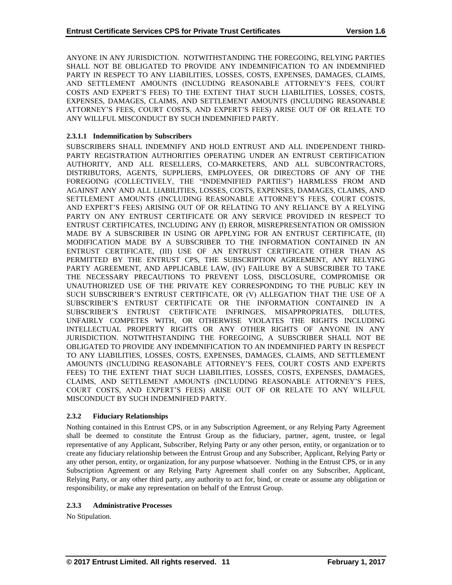ANYONE IN ANY JURISDICTION. NOTWITHSTANDING THE FOREGOING, RELYING PARTIES SHALL NOT BE OBLIGATED TO PROVIDE ANY INDEMNIFICATION TO AN INDEMNIFIED PARTY IN RESPECT TO ANY LIABILITIES, LOSSES, COSTS, EXPENSES, DAMAGES, CLAIMS, AND SETTLEMENT AMOUNTS (INCLUDING REASONABLE ATTORNEY'S FEES, COURT COSTS AND EXPERT'S FEES) TO THE EXTENT THAT SUCH LIABILITIES, LOSSES, COSTS, EXPENSES, DAMAGES, CLAIMS, AND SETTLEMENT AMOUNTS (INCLUDING REASONABLE ATTORNEY'S FEES, COURT COSTS, AND EXPERT'S FEES) ARISE OUT OF OR RELATE TO ANY WILLFUL MISCONDUCT BY SUCH INDEMNIFIED PARTY.

# **2.3.1.1 Indemnification by Subscribers**

SUBSCRIBERS SHALL INDEMNIFY AND HOLD ENTRUST AND ALL INDEPENDENT THIRD-PARTY REGISTRATION AUTHORITIES OPERATING UNDER AN ENTRUST CERTIFICATION AUTHORITY, AND ALL RESELLERS, CO-MARKETERS, AND ALL SUBCONTRACTORS, DISTRIBUTORS, AGENTS, SUPPLIERS, EMPLOYEES, OR DIRECTORS OF ANY OF THE FOREGOING (COLLECTIVELY, THE "INDEMNIFIED PARTIES") HARMLESS FROM AND AGAINST ANY AND ALL LIABILITIES, LOSSES, COSTS, EXPENSES, DAMAGES, CLAIMS, AND SETTLEMENT AMOUNTS (INCLUDING REASONABLE ATTORNEY'S FEES, COURT COSTS, AND EXPERT'S FEES) ARISING OUT OF OR RELATING TO ANY RELIANCE BY A RELYING PARTY ON ANY ENTRUST CERTIFICATE OR ANY SERVICE PROVIDED IN RESPECT TO ENTRUST CERTIFICATES, INCLUDING ANY (I) ERROR, MISREPRESENTATION OR OMISSION MADE BY A SUBSCRIBER IN USING OR APPLYING FOR AN ENTRUST CERTIFICATE, (II) MODIFICATION MADE BY A SUBSCRIBER TO THE INFORMATION CONTAINED IN AN ENTRUST CERTIFICATE, (III) USE OF AN ENTRUST CERTIFICATE OTHER THAN AS PERMITTED BY THE ENTRUST CPS, THE SUBSCRIPTION AGREEMENT, ANY RELYING PARTY AGREEMENT, AND APPLICABLE LAW, (IV) FAILURE BY A SUBSCRIBER TO TAKE THE NECESSARY PRECAUTIONS TO PREVENT LOSS, DISCLOSURE, COMPROMISE OR UNAUTHORIZED USE OF THE PRIVATE KEY CORRESPONDING TO THE PUBLIC KEY IN SUCH SUBSCRIBER'S ENTRUST CERTIFICATE, OR (V) ALLEGATION THAT THE USE OF A SUBSCRIBER'S ENTRUST CERTIFICATE OR THE INFORMATION CONTAINED IN A SUBSCRIBER'S ENTRUST CERTIFICATE INFRINGES, MISAPPROPRIATES, DILUTES, UNFAIRLY COMPETES WITH, OR OTHERWISE VIOLATES THE RIGHTS INCLUDING INTELLECTUAL PROPERTY RIGHTS OR ANY OTHER RIGHTS OF ANYONE IN ANY JURISDICTION. NOTWITHSTANDING THE FOREGOING, A SUBSCRIBER SHALL NOT BE OBLIGATED TO PROVIDE ANY INDEMNIFICATION TO AN INDEMNIFIED PARTY IN RESPECT TO ANY LIABILITIES, LOSSES, COSTS, EXPENSES, DAMAGES, CLAIMS, AND SETTLEMENT AMOUNTS (INCLUDING REASONABLE ATTORNEY'S FEES, COURT COSTS AND EXPERTS FEES) TO THE EXTENT THAT SUCH LIABILITIES, LOSSES, COSTS, EXPENSES, DAMAGES, CLAIMS, AND SETTLEMENT AMOUNTS (INCLUDING REASONABLE ATTORNEY'S FEES, COURT COSTS, AND EXPERT'S FEES) ARISE OUT OF OR RELATE TO ANY WILLFUL MISCONDUCT BY SUCH INDEMNIFIED PARTY.

# **2.3.2 Fiduciary Relationships**

Nothing contained in this Entrust CPS, or in any Subscription Agreement, or any Relying Party Agreement shall be deemed to constitute the Entrust Group as the fiduciary, partner, agent, trustee, or legal representative of any Applicant, Subscriber, Relying Party or any other person, entity, or organization or to create any fiduciary relationship between the Entrust Group and any Subscriber, Applicant, Relying Party or any other person, entity, or organization, for any purpose whatsoever. Nothing in the Entrust CPS, or in any Subscription Agreement or any Relying Party Agreement shall confer on any Subscriber, Applicant, Relying Party, or any other third party, any authority to act for, bind, or create or assume any obligation or responsibility, or make any representation on behalf of the Entrust Group.

# **2.3.3 Administrative Processes**

No Stipulation.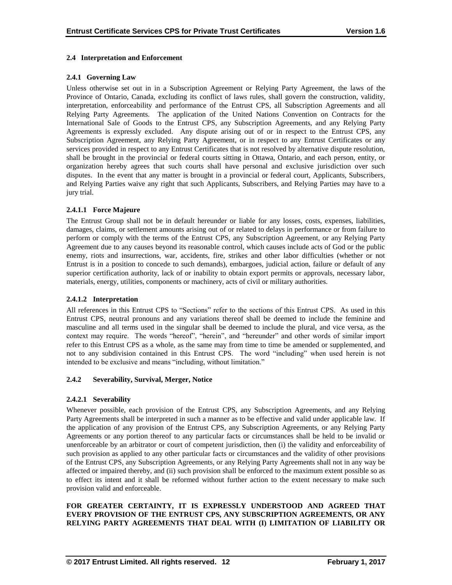## **2.4 Interpretation and Enforcement**

## **2.4.1 Governing Law**

Unless otherwise set out in in a Subscription Agreement or Relying Party Agreement, the laws of the Province of Ontario, Canada, excluding its conflict of laws rules, shall govern the construction, validity, interpretation, enforceability and performance of the Entrust CPS, all Subscription Agreements and all Relying Party Agreements. The application of the United Nations Convention on Contracts for the International Sale of Goods to the Entrust CPS, any Subscription Agreements, and any Relying Party Agreements is expressly excluded. Any dispute arising out of or in respect to the Entrust CPS, any Subscription Agreement, any Relying Party Agreement, or in respect to any Entrust Certificates or any services provided in respect to any Entrust Certificates that is not resolved by alternative dispute resolution, shall be brought in the provincial or federal courts sitting in Ottawa, Ontario, and each person, entity, or organization hereby agrees that such courts shall have personal and exclusive jurisdiction over such disputes. In the event that any matter is brought in a provincial or federal court, Applicants, Subscribers, and Relying Parties waive any right that such Applicants, Subscribers, and Relying Parties may have to a jury trial.

## **2.4.1.1 Force Majeure**

The Entrust Group shall not be in default hereunder or liable for any losses, costs, expenses, liabilities, damages, claims, or settlement amounts arising out of or related to delays in performance or from failure to perform or comply with the terms of the Entrust CPS, any Subscription Agreement, or any Relying Party Agreement due to any causes beyond its reasonable control, which causes include acts of God or the public enemy, riots and insurrections, war, accidents, fire, strikes and other labor difficulties (whether or not Entrust is in a position to concede to such demands), embargoes, judicial action, failure or default of any superior certification authority, lack of or inability to obtain export permits or approvals, necessary labor, materials, energy, utilities, components or machinery, acts of civil or military authorities.

#### **2.4.1.2 Interpretation**

All references in this Entrust CPS to "Sections" refer to the sections of this Entrust CPS. As used in this Entrust CPS, neutral pronouns and any variations thereof shall be deemed to include the feminine and masculine and all terms used in the singular shall be deemed to include the plural, and vice versa, as the context may require. The words "hereof", "herein", and "hereunder" and other words of similar import refer to this Entrust CPS as a whole, as the same may from time to time be amended or supplemented, and not to any subdivision contained in this Entrust CPS. The word "including" when used herein is not intended to be exclusive and means "including, without limitation."

#### **2.4.2 Severability, Survival, Merger, Notice**

#### **2.4.2.1 Severability**

Whenever possible, each provision of the Entrust CPS, any Subscription Agreements, and any Relying Party Agreements shall be interpreted in such a manner as to be effective and valid under applicable law. If the application of any provision of the Entrust CPS, any Subscription Agreements, or any Relying Party Agreements or any portion thereof to any particular facts or circumstances shall be held to be invalid or unenforceable by an arbitrator or court of competent jurisdiction, then (i) the validity and enforceability of such provision as applied to any other particular facts or circumstances and the validity of other provisions of the Entrust CPS, any Subscription Agreements, or any Relying Party Agreements shall not in any way be affected or impaired thereby, and (ii) such provision shall be enforced to the maximum extent possible so as to effect its intent and it shall be reformed without further action to the extent necessary to make such provision valid and enforceable.

## **FOR GREATER CERTAINTY, IT IS EXPRESSLY UNDERSTOOD AND AGREED THAT EVERY PROVISION OF THE ENTRUST CPS, ANY SUBSCRIPTION AGREEMENTS, OR ANY RELYING PARTY AGREEMENTS THAT DEAL WITH (I) LIMITATION OF LIABILITY OR**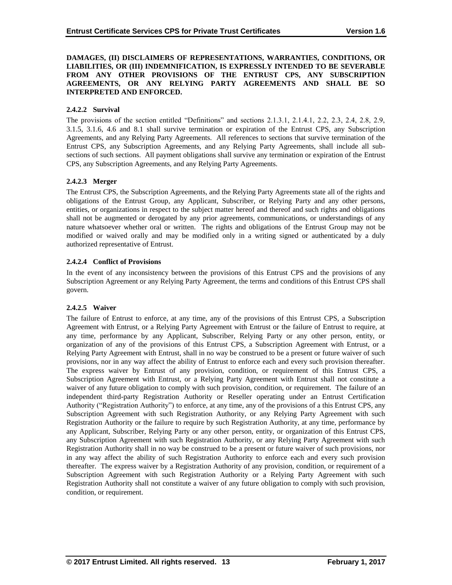**DAMAGES, (II) DISCLAIMERS OF REPRESENTATIONS, WARRANTIES, CONDITIONS, OR LIABILITIES, OR (III) INDEMNIFICATION, IS EXPRESSLY INTENDED TO BE SEVERABLE FROM ANY OTHER PROVISIONS OF THE ENTRUST CPS, ANY SUBSCRIPTION AGREEMENTS, OR ANY RELYING PARTY AGREEMENTS AND SHALL BE SO INTERPRETED AND ENFORCED.**

## **2.4.2.2 Survival**

The provisions of the section entitled "Definitions" and sections 2.1.3.1, 2.1.4.1, 2.2, 2.3, 2.4, 2.8, 2.9, 3.1.5, 3.1.6, 4.6 and 8.1 shall survive termination or expiration of the Entrust CPS, any Subscription Agreements, and any Relying Party Agreements. All references to sections that survive termination of the Entrust CPS, any Subscription Agreements, and any Relying Party Agreements, shall include all subsections of such sections. All payment obligations shall survive any termination or expiration of the Entrust CPS, any Subscription Agreements, and any Relying Party Agreements.

## **2.4.2.3 Merger**

The Entrust CPS, the Subscription Agreements, and the Relying Party Agreements state all of the rights and obligations of the Entrust Group, any Applicant, Subscriber, or Relying Party and any other persons, entities, or organizations in respect to the subject matter hereof and thereof and such rights and obligations shall not be augmented or derogated by any prior agreements, communications, or understandings of any nature whatsoever whether oral or written. The rights and obligations of the Entrust Group may not be modified or waived orally and may be modified only in a writing signed or authenticated by a duly authorized representative of Entrust.

## **2.4.2.4 Conflict of Provisions**

In the event of any inconsistency between the provisions of this Entrust CPS and the provisions of any Subscription Agreement or any Relying Party Agreement, the terms and conditions of this Entrust CPS shall govern.

#### **2.4.2.5 Waiver**

The failure of Entrust to enforce, at any time, any of the provisions of this Entrust CPS, a Subscription Agreement with Entrust, or a Relying Party Agreement with Entrust or the failure of Entrust to require, at any time, performance by any Applicant, Subscriber, Relying Party or any other person, entity, or organization of any of the provisions of this Entrust CPS, a Subscription Agreement with Entrust, or a Relying Party Agreement with Entrust, shall in no way be construed to be a present or future waiver of such provisions, nor in any way affect the ability of Entrust to enforce each and every such provision thereafter. The express waiver by Entrust of any provision, condition, or requirement of this Entrust CPS, a Subscription Agreement with Entrust, or a Relying Party Agreement with Entrust shall not constitute a waiver of any future obligation to comply with such provision, condition, or requirement. The failure of an independent third-party Registration Authority or Reseller operating under an Entrust Certification Authority ("Registration Authority") to enforce, at any time, any of the provisions of a this Entrust CPS, any Subscription Agreement with such Registration Authority, or any Relying Party Agreement with such Registration Authority or the failure to require by such Registration Authority, at any time, performance by any Applicant, Subscriber, Relying Party or any other person, entity, or organization of this Entrust CPS, any Subscription Agreement with such Registration Authority, or any Relying Party Agreement with such Registration Authority shall in no way be construed to be a present or future waiver of such provisions, nor in any way affect the ability of such Registration Authority to enforce each and every such provision thereafter. The express waiver by a Registration Authority of any provision, condition, or requirement of a Subscription Agreement with such Registration Authority or a Relying Party Agreement with such Registration Authority shall not constitute a waiver of any future obligation to comply with such provision, condition, or requirement.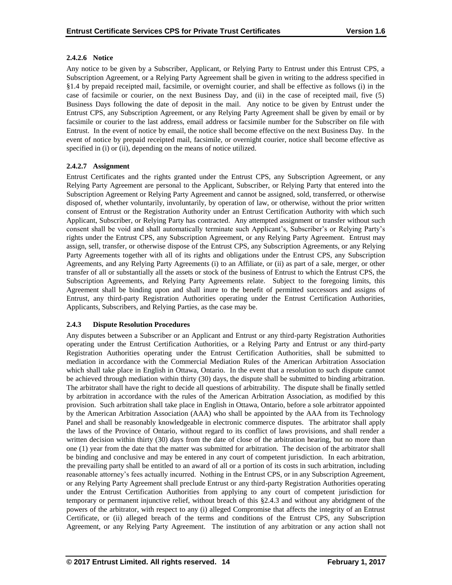# **2.4.2.6 Notice**

Any notice to be given by a Subscriber, Applicant, or Relying Party to Entrust under this Entrust CPS, a Subscription Agreement, or a Relying Party Agreement shall be given in writing to the address specified in §1.4 by prepaid receipted mail, facsimile, or overnight courier, and shall be effective as follows (i) in the case of facsimile or courier, on the next Business Day, and (ii) in the case of receipted mail, five (5) Business Days following the date of deposit in the mail. Any notice to be given by Entrust under the Entrust CPS, any Subscription Agreement, or any Relying Party Agreement shall be given by email or by facsimile or courier to the last address, email address or facsimile number for the Subscriber on file with Entrust. In the event of notice by email, the notice shall become effective on the next Business Day. In the event of notice by prepaid receipted mail, facsimile, or overnight courier, notice shall become effective as specified in (i) or (ii), depending on the means of notice utilized.

# **2.4.2.7 Assignment**

Entrust Certificates and the rights granted under the Entrust CPS, any Subscription Agreement, or any Relying Party Agreement are personal to the Applicant, Subscriber, or Relying Party that entered into the Subscription Agreement or Relying Party Agreement and cannot be assigned, sold, transferred, or otherwise disposed of, whether voluntarily, involuntarily, by operation of law, or otherwise, without the prior written consent of Entrust or the Registration Authority under an Entrust Certification Authority with which such Applicant, Subscriber, or Relying Party has contracted. Any attempted assignment or transfer without such consent shall be void and shall automatically terminate such Applicant's, Subscriber's or Relying Party's rights under the Entrust CPS, any Subscription Agreement, or any Relying Party Agreement. Entrust may assign, sell, transfer, or otherwise dispose of the Entrust CPS, any Subscription Agreements, or any Relying Party Agreements together with all of its rights and obligations under the Entrust CPS, any Subscription Agreements, and any Relying Party Agreements (i) to an Affiliate, or (ii) as part of a sale, merger, or other transfer of all or substantially all the assets or stock of the business of Entrust to which the Entrust CPS, the Subscription Agreements, and Relying Party Agreements relate. Subject to the foregoing limits, this Agreement shall be binding upon and shall inure to the benefit of permitted successors and assigns of Entrust, any third-party Registration Authorities operating under the Entrust Certification Authorities, Applicants, Subscribers, and Relying Parties, as the case may be.

# **2.4.3 Dispute Resolution Procedures**

Any disputes between a Subscriber or an Applicant and Entrust or any third-party Registration Authorities operating under the Entrust Certification Authorities, or a Relying Party and Entrust or any third-party Registration Authorities operating under the Entrust Certification Authorities, shall be submitted to mediation in accordance with the Commercial Mediation Rules of the American Arbitration Association which shall take place in English in Ottawa, Ontario. In the event that a resolution to such dispute cannot be achieved through mediation within thirty (30) days, the dispute shall be submitted to binding arbitration. The arbitrator shall have the right to decide all questions of arbitrability. The dispute shall be finally settled by arbitration in accordance with the rules of the American Arbitration Association, as modified by this provision. Such arbitration shall take place in English in Ottawa, Ontario, before a sole arbitrator appointed by the American Arbitration Association (AAA) who shall be appointed by the AAA from its Technology Panel and shall be reasonably knowledgeable in electronic commerce disputes. The arbitrator shall apply the laws of the Province of Ontario, without regard to its conflict of laws provisions, and shall render a written decision within thirty (30) days from the date of close of the arbitration hearing, but no more than one (1) year from the date that the matter was submitted for arbitration. The decision of the arbitrator shall be binding and conclusive and may be entered in any court of competent jurisdiction. In each arbitration, the prevailing party shall be entitled to an award of all or a portion of its costs in such arbitration, including reasonable attorney's fees actually incurred. Nothing in the Entrust CPS, or in any Subscription Agreement, or any Relying Party Agreement shall preclude Entrust or any third-party Registration Authorities operating under the Entrust Certification Authorities from applying to any court of competent jurisdiction for temporary or permanent injunctive relief, without breach of this §2.4.3 and without any abridgment of the powers of the arbitrator, with respect to any (i) alleged Compromise that affects the integrity of an Entrust Certificate, or (ii) alleged breach of the terms and conditions of the Entrust CPS, any Subscription Agreement, or any Relying Party Agreement. The institution of any arbitration or any action shall not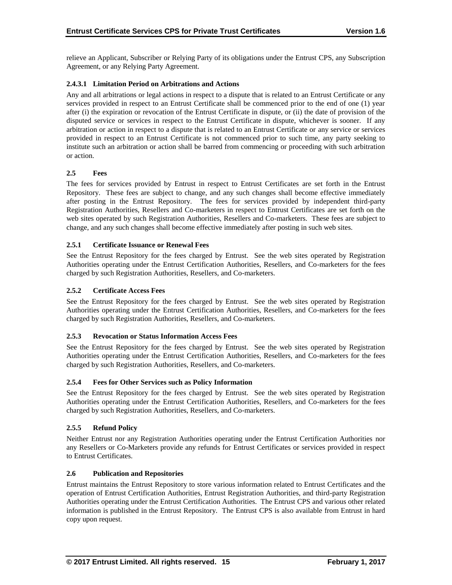relieve an Applicant, Subscriber or Relying Party of its obligations under the Entrust CPS, any Subscription Agreement, or any Relying Party Agreement.

## **2.4.3.1 Limitation Period on Arbitrations and Actions**

Any and all arbitrations or legal actions in respect to a dispute that is related to an Entrust Certificate or any services provided in respect to an Entrust Certificate shall be commenced prior to the end of one (1) year after (i) the expiration or revocation of the Entrust Certificate in dispute, or (ii) the date of provision of the disputed service or services in respect to the Entrust Certificate in dispute, whichever is sooner. If any arbitration or action in respect to a dispute that is related to an Entrust Certificate or any service or services provided in respect to an Entrust Certificate is not commenced prior to such time, any party seeking to institute such an arbitration or action shall be barred from commencing or proceeding with such arbitration or action.

## **2.5 Fees**

The fees for services provided by Entrust in respect to Entrust Certificates are set forth in the Entrust Repository. These fees are subject to change, and any such changes shall become effective immediately after posting in the Entrust Repository. The fees for services provided by independent third-party Registration Authorities, Resellers and Co-marketers in respect to Entrust Certificates are set forth on the web sites operated by such Registration Authorities, Resellers and Co-marketers. These fees are subject to change, and any such changes shall become effective immediately after posting in such web sites.

#### **2.5.1 Certificate Issuance or Renewal Fees**

See the Entrust Repository for the fees charged by Entrust. See the web sites operated by Registration Authorities operating under the Entrust Certification Authorities, Resellers, and Co-marketers for the fees charged by such Registration Authorities, Resellers, and Co-marketers.

## **2.5.2 Certificate Access Fees**

See the Entrust Repository for the fees charged by Entrust. See the web sites operated by Registration Authorities operating under the Entrust Certification Authorities, Resellers, and Co-marketers for the fees charged by such Registration Authorities, Resellers, and Co-marketers.

#### **2.5.3 Revocation or Status Information Access Fees**

See the Entrust Repository for the fees charged by Entrust. See the web sites operated by Registration Authorities operating under the Entrust Certification Authorities, Resellers, and Co-marketers for the fees charged by such Registration Authorities, Resellers, and Co-marketers.

## **2.5.4 Fees for Other Services such as Policy Information**

See the Entrust Repository for the fees charged by Entrust. See the web sites operated by Registration Authorities operating under the Entrust Certification Authorities, Resellers, and Co-marketers for the fees charged by such Registration Authorities, Resellers, and Co-marketers.

#### **2.5.5 Refund Policy**

Neither Entrust nor any Registration Authorities operating under the Entrust Certification Authorities nor any Resellers or Co-Marketers provide any refunds for Entrust Certificates or services provided in respect to Entrust Certificates.

#### **2.6 Publication and Repositories**

Entrust maintains the Entrust Repository to store various information related to Entrust Certificates and the operation of Entrust Certification Authorities, Entrust Registration Authorities, and third-party Registration Authorities operating under the Entrust Certification Authorities. The Entrust CPS and various other related information is published in the Entrust Repository. The Entrust CPS is also available from Entrust in hard copy upon request.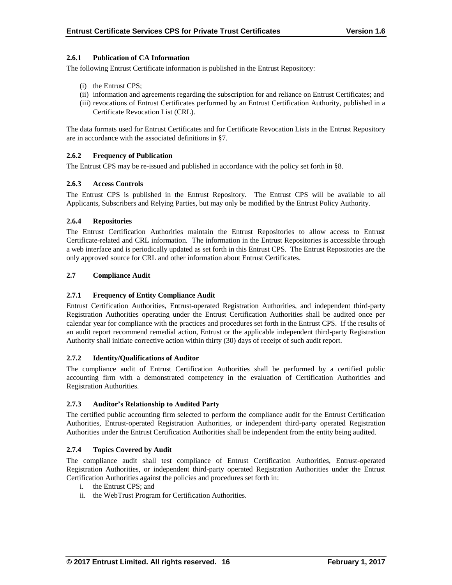## **2.6.1 Publication of CA Information**

The following Entrust Certificate information is published in the Entrust Repository:

- (i) the Entrust CPS;
- (ii) information and agreements regarding the subscription for and reliance on Entrust Certificates; and
- (iii) revocations of Entrust Certificates performed by an Entrust Certification Authority, published in a Certificate Revocation List (CRL).

The data formats used for Entrust Certificates and for Certificate Revocation Lists in the Entrust Repository are in accordance with the associated definitions in §7.

## **2.6.2 Frequency of Publication**

The Entrust CPS may be re-issued and published in accordance with the policy set forth in §8.

#### **2.6.3 Access Controls**

The Entrust CPS is published in the Entrust Repository. The Entrust CPS will be available to all Applicants, Subscribers and Relying Parties, but may only be modified by the Entrust Policy Authority.

#### **2.6.4 Repositories**

The Entrust Certification Authorities maintain the Entrust Repositories to allow access to Entrust Certificate-related and CRL information. The information in the Entrust Repositories is accessible through a web interface and is periodically updated as set forth in this Entrust CPS. The Entrust Repositories are the only approved source for CRL and other information about Entrust Certificates.

## **2.7 Compliance Audit**

## **2.7.1 Frequency of Entity Compliance Audit**

Entrust Certification Authorities, Entrust-operated Registration Authorities, and independent third-party Registration Authorities operating under the Entrust Certification Authorities shall be audited once per calendar year for compliance with the practices and procedures set forth in the Entrust CPS. If the results of an audit report recommend remedial action, Entrust or the applicable independent third-party Registration Authority shall initiate corrective action within thirty (30) days of receipt of such audit report.

#### **2.7.2 Identity/Qualifications of Auditor**

The compliance audit of Entrust Certification Authorities shall be performed by a certified public accounting firm with a demonstrated competency in the evaluation of Certification Authorities and Registration Authorities.

#### **2.7.3 Auditor's Relationship to Audited Party**

The certified public accounting firm selected to perform the compliance audit for the Entrust Certification Authorities, Entrust-operated Registration Authorities, or independent third-party operated Registration Authorities under the Entrust Certification Authorities shall be independent from the entity being audited.

#### **2.7.4 Topics Covered by Audit**

The compliance audit shall test compliance of Entrust Certification Authorities, Entrust-operated Registration Authorities, or independent third-party operated Registration Authorities under the Entrust Certification Authorities against the policies and procedures set forth in:

- i. the Entrust CPS; and
- ii. the WebTrust Program for Certification Authorities.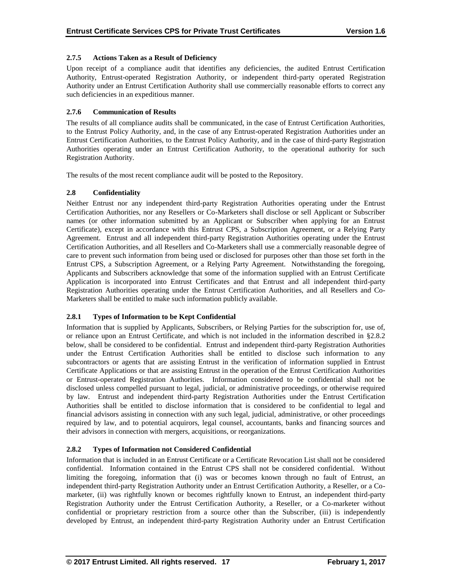## **2.7.5 Actions Taken as a Result of Deficiency**

Upon receipt of a compliance audit that identifies any deficiencies, the audited Entrust Certification Authority, Entrust-operated Registration Authority, or independent third-party operated Registration Authority under an Entrust Certification Authority shall use commercially reasonable efforts to correct any such deficiencies in an expeditious manner.

## **2.7.6 Communication of Results**

The results of all compliance audits shall be communicated, in the case of Entrust Certification Authorities, to the Entrust Policy Authority, and, in the case of any Entrust-operated Registration Authorities under an Entrust Certification Authorities, to the Entrust Policy Authority, and in the case of third-party Registration Authorities operating under an Entrust Certification Authority, to the operational authority for such Registration Authority.

The results of the most recent compliance audit will be posted to the Repository.

## **2.8 Confidentiality**

Neither Entrust nor any independent third-party Registration Authorities operating under the Entrust Certification Authorities, nor any Resellers or Co-Marketers shall disclose or sell Applicant or Subscriber names (or other information submitted by an Applicant or Subscriber when applying for an Entrust Certificate), except in accordance with this Entrust CPS, a Subscription Agreement, or a Relying Party Agreement. Entrust and all independent third-party Registration Authorities operating under the Entrust Certification Authorities, and all Resellers and Co-Marketers shall use a commercially reasonable degree of care to prevent such information from being used or disclosed for purposes other than those set forth in the Entrust CPS, a Subscription Agreement, or a Relying Party Agreement. Notwithstanding the foregoing, Applicants and Subscribers acknowledge that some of the information supplied with an Entrust Certificate Application is incorporated into Entrust Certificates and that Entrust and all independent third-party Registration Authorities operating under the Entrust Certification Authorities, and all Resellers and Co-Marketers shall be entitled to make such information publicly available.

# **2.8.1 Types of Information to be Kept Confidential**

Information that is supplied by Applicants, Subscribers, or Relying Parties for the subscription for, use of, or reliance upon an Entrust Certificate, and which is not included in the information described in §2.8.2 below, shall be considered to be confidential. Entrust and independent third-party Registration Authorities under the Entrust Certification Authorities shall be entitled to disclose such information to any subcontractors or agents that are assisting Entrust in the verification of information supplied in Entrust Certificate Applications or that are assisting Entrust in the operation of the Entrust Certification Authorities or Entrust-operated Registration Authorities. Information considered to be confidential shall not be disclosed unless compelled pursuant to legal, judicial, or administrative proceedings, or otherwise required by law. Entrust and independent third-party Registration Authorities under the Entrust Certification Authorities shall be entitled to disclose information that is considered to be confidential to legal and financial advisors assisting in connection with any such legal, judicial, administrative, or other proceedings required by law, and to potential acquirors, legal counsel, accountants, banks and financing sources and their advisors in connection with mergers, acquisitions, or reorganizations.

# **2.8.2 Types of Information not Considered Confidential**

Information that is included in an Entrust Certificate or a Certificate Revocation List shall not be considered confidential. Information contained in the Entrust CPS shall not be considered confidential. Without limiting the foregoing, information that (i) was or becomes known through no fault of Entrust, an independent third-party Registration Authority under an Entrust Certification Authority, a Reseller, or a Comarketer, (ii) was rightfully known or becomes rightfully known to Entrust, an independent third-party Registration Authority under the Entrust Certification Authority, a Reseller, or a Co-marketer without confidential or proprietary restriction from a source other than the Subscriber, (iii) is independently developed by Entrust, an independent third-party Registration Authority under an Entrust Certification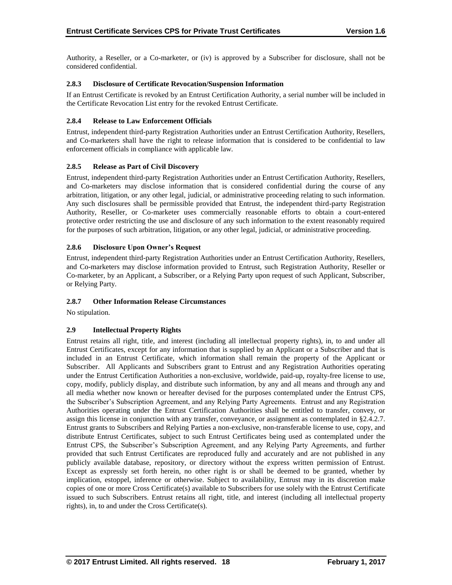Authority, a Reseller, or a Co-marketer, or (iv) is approved by a Subscriber for disclosure, shall not be considered confidential.

## **2.8.3 Disclosure of Certificate Revocation/Suspension Information**

If an Entrust Certificate is revoked by an Entrust Certification Authority, a serial number will be included in the Certificate Revocation List entry for the revoked Entrust Certificate.

## **2.8.4 Release to Law Enforcement Officials**

Entrust, independent third-party Registration Authorities under an Entrust Certification Authority, Resellers, and Co-marketers shall have the right to release information that is considered to be confidential to law enforcement officials in compliance with applicable law.

## **2.8.5 Release as Part of Civil Discovery**

Entrust, independent third-party Registration Authorities under an Entrust Certification Authority, Resellers, and Co-marketers may disclose information that is considered confidential during the course of any arbitration, litigation, or any other legal, judicial, or administrative proceeding relating to such information. Any such disclosures shall be permissible provided that Entrust, the independent third-party Registration Authority, Reseller, or Co-marketer uses commercially reasonable efforts to obtain a court-entered protective order restricting the use and disclosure of any such information to the extent reasonably required for the purposes of such arbitration, litigation, or any other legal, judicial, or administrative proceeding.

# **2.8.6 Disclosure Upon Owner's Request**

Entrust, independent third-party Registration Authorities under an Entrust Certification Authority, Resellers, and Co-marketers may disclose information provided to Entrust, such Registration Authority, Reseller or Co-marketer, by an Applicant, a Subscriber, or a Relying Party upon request of such Applicant, Subscriber, or Relying Party.

# **2.8.7 Other Information Release Circumstances**

No stipulation.

# **2.9 Intellectual Property Rights**

Entrust retains all right, title, and interest (including all intellectual property rights), in, to and under all Entrust Certificates, except for any information that is supplied by an Applicant or a Subscriber and that is included in an Entrust Certificate, which information shall remain the property of the Applicant or Subscriber. All Applicants and Subscribers grant to Entrust and any Registration Authorities operating under the Entrust Certification Authorities a non-exclusive, worldwide, paid-up, royalty-free license to use, copy, modify, publicly display, and distribute such information, by any and all means and through any and all media whether now known or hereafter devised for the purposes contemplated under the Entrust CPS, the Subscriber's Subscription Agreement, and any Relying Party Agreements. Entrust and any Registration Authorities operating under the Entrust Certification Authorities shall be entitled to transfer, convey, or assign this license in conjunction with any transfer, conveyance, or assignment as contemplated in §2.4.2.7. Entrust grants to Subscribers and Relying Parties a non-exclusive, non-transferable license to use, copy, and distribute Entrust Certificates, subject to such Entrust Certificates being used as contemplated under the Entrust CPS, the Subscriber's Subscription Agreement, and any Relying Party Agreements, and further provided that such Entrust Certificates are reproduced fully and accurately and are not published in any publicly available database, repository, or directory without the express written permission of Entrust. Except as expressly set forth herein, no other right is or shall be deemed to be granted, whether by implication, estoppel, inference or otherwise. Subject to availability, Entrust may in its discretion make copies of one or more Cross Certificate(s) available to Subscribers for use solely with the Entrust Certificate issued to such Subscribers. Entrust retains all right, title, and interest (including all intellectual property rights), in, to and under the Cross Certificate(s).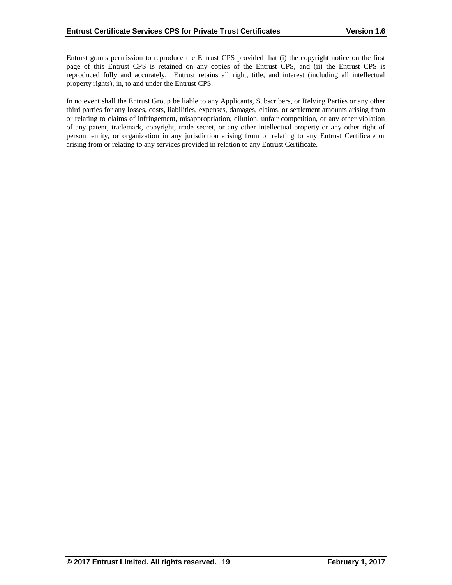Entrust grants permission to reproduce the Entrust CPS provided that (i) the copyright notice on the first page of this Entrust CPS is retained on any copies of the Entrust CPS, and (ii) the Entrust CPS is reproduced fully and accurately. Entrust retains all right, title, and interest (including all intellectual property rights), in, to and under the Entrust CPS.

In no event shall the Entrust Group be liable to any Applicants, Subscribers, or Relying Parties or any other third parties for any losses, costs, liabilities, expenses, damages, claims, or settlement amounts arising from or relating to claims of infringement, misappropriation, dilution, unfair competition, or any other violation of any patent, trademark, copyright, trade secret, or any other intellectual property or any other right of person, entity, or organization in any jurisdiction arising from or relating to any Entrust Certificate or arising from or relating to any services provided in relation to any Entrust Certificate.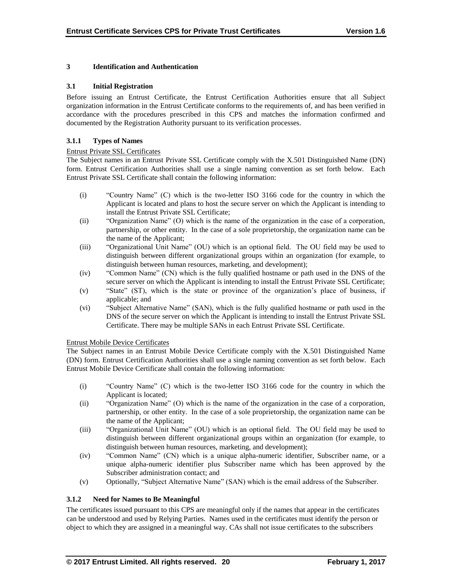## **3 Identification and Authentication**

#### **3.1 Initial Registration**

Before issuing an Entrust Certificate, the Entrust Certification Authorities ensure that all Subject organization information in the Entrust Certificate conforms to the requirements of, and has been verified in accordance with the procedures prescribed in this CPS and matches the information confirmed and documented by the Registration Authority pursuant to its verification processes.

## **3.1.1 Types of Names**

#### Entrust Private SSL Certificates

The Subject names in an Entrust Private SSL Certificate comply with the X.501 Distinguished Name (DN) form. Entrust Certification Authorities shall use a single naming convention as set forth below. Each Entrust Private SSL Certificate shall contain the following information:

- (i) "Country Name" (C) which is the two-letter ISO 3166 code for the country in which the Applicant is located and plans to host the secure server on which the Applicant is intending to install the Entrust Private SSL Certificate;
- (ii) "Organization Name" (O) which is the name of the organization in the case of a corporation, partnership, or other entity. In the case of a sole proprietorship, the organization name can be the name of the Applicant;
- (iii) "Organizational Unit Name" (OU) which is an optional field. The OU field may be used to distinguish between different organizational groups within an organization (for example, to distinguish between human resources, marketing, and development);
- (iv) "Common Name" (CN) which is the fully qualified hostname or path used in the DNS of the secure server on which the Applicant is intending to install the Entrust Private SSL Certificate;
- (v) "State" (ST), which is the state or province of the organization's place of business, if applicable; and
- (vi) "Subject Alternative Name" (SAN), which is the fully qualified hostname or path used in the DNS of the secure server on which the Applicant is intending to install the Entrust Private SSL Certificate. There may be multiple SANs in each Entrust Private SSL Certificate.

#### Entrust Mobile Device Certificates

The Subject names in an Entrust Mobile Device Certificate comply with the X.501 Distinguished Name (DN) form. Entrust Certification Authorities shall use a single naming convention as set forth below. Each Entrust Mobile Device Certificate shall contain the following information:

- (i) "Country Name" (C) which is the two-letter ISO 3166 code for the country in which the Applicant is located;
- (ii) "Organization Name" (O) which is the name of the organization in the case of a corporation, partnership, or other entity. In the case of a sole proprietorship, the organization name can be the name of the Applicant;
- (iii) "Organizational Unit Name" (OU) which is an optional field. The OU field may be used to distinguish between different organizational groups within an organization (for example, to distinguish between human resources, marketing, and development);
- (iv) "Common Name" (CN) which is a unique alpha-numeric identifier, Subscriber name, or a unique alpha-numeric identifier plus Subscriber name which has been approved by the Subscriber administration contact; and
- (v) Optionally, "Subject Alternative Name" (SAN) which is the email address of the Subscriber.

# **3.1.2 Need for Names to Be Meaningful**

The certificates issued pursuant to this CPS are meaningful only if the names that appear in the certificates can be understood and used by Relying Parties. Names used in the certificates must identify the person or object to which they are assigned in a meaningful way. CAs shall not issue certificates to the subscribers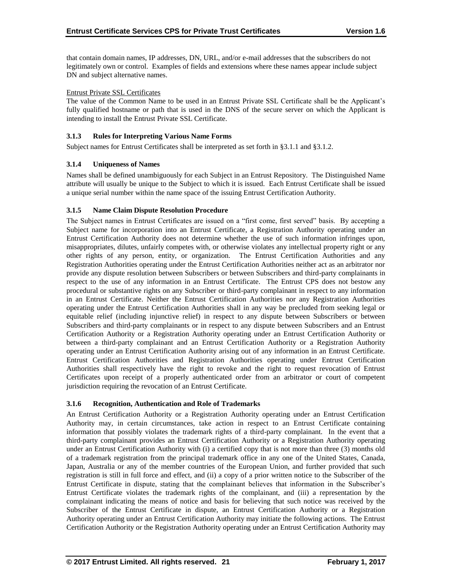that contain domain names, IP addresses, DN, URL, and/or e-mail addresses that the subscribers do not legitimately own or control. Examples of fields and extensions where these names appear include subject DN and subject alternative names.

#### Entrust Private SSL Certificates

The value of the Common Name to be used in an Entrust Private SSL Certificate shall be the Applicant's fully qualified hostname or path that is used in the DNS of the secure server on which the Applicant is intending to install the Entrust Private SSL Certificate.

## **3.1.3 Rules for Interpreting Various Name Forms**

Subject names for Entrust Certificates shall be interpreted as set forth in §3.1.1 and §3.1.2.

## **3.1.4 Uniqueness of Names**

Names shall be defined unambiguously for each Subject in an Entrust Repository. The Distinguished Name attribute will usually be unique to the Subject to which it is issued. Each Entrust Certificate shall be issued a unique serial number within the name space of the issuing Entrust Certification Authority.

## **3.1.5 Name Claim Dispute Resolution Procedure**

The Subject names in Entrust Certificates are issued on a "first come, first served" basis. By accepting a Subject name for incorporation into an Entrust Certificate, a Registration Authority operating under an Entrust Certification Authority does not determine whether the use of such information infringes upon, misappropriates, dilutes, unfairly competes with, or otherwise violates any intellectual property right or any other rights of any person, entity, or organization. The Entrust Certification Authorities and any Registration Authorities operating under the Entrust Certification Authorities neither act as an arbitrator nor provide any dispute resolution between Subscribers or between Subscribers and third-party complainants in respect to the use of any information in an Entrust Certificate. The Entrust CPS does not bestow any procedural or substantive rights on any Subscriber or third-party complainant in respect to any information in an Entrust Certificate. Neither the Entrust Certification Authorities nor any Registration Authorities operating under the Entrust Certification Authorities shall in any way be precluded from seeking legal or equitable relief (including injunctive relief) in respect to any dispute between Subscribers or between Subscribers and third-party complainants or in respect to any dispute between Subscribers and an Entrust Certification Authority or a Registration Authority operating under an Entrust Certification Authority or between a third-party complainant and an Entrust Certification Authority or a Registration Authority operating under an Entrust Certification Authority arising out of any information in an Entrust Certificate. Entrust Certification Authorities and Registration Authorities operating under Entrust Certification Authorities shall respectively have the right to revoke and the right to request revocation of Entrust Certificates upon receipt of a properly authenticated order from an arbitrator or court of competent jurisdiction requiring the revocation of an Entrust Certificate.

# **3.1.6 Recognition, Authentication and Role of Trademarks**

An Entrust Certification Authority or a Registration Authority operating under an Entrust Certification Authority may, in certain circumstances, take action in respect to an Entrust Certificate containing information that possibly violates the trademark rights of a third-party complainant. In the event that a third-party complainant provides an Entrust Certification Authority or a Registration Authority operating under an Entrust Certification Authority with (i) a certified copy that is not more than three (3) months old of a trademark registration from the principal trademark office in any one of the United States, Canada, Japan, Australia or any of the member countries of the European Union, and further provided that such registration is still in full force and effect, and (ii) a copy of a prior written notice to the Subscriber of the Entrust Certificate in dispute, stating that the complainant believes that information in the Subscriber's Entrust Certificate violates the trademark rights of the complainant, and (iii) a representation by the complainant indicating the means of notice and basis for believing that such notice was received by the Subscriber of the Entrust Certificate in dispute, an Entrust Certification Authority or a Registration Authority operating under an Entrust Certification Authority may initiate the following actions. The Entrust Certification Authority or the Registration Authority operating under an Entrust Certification Authority may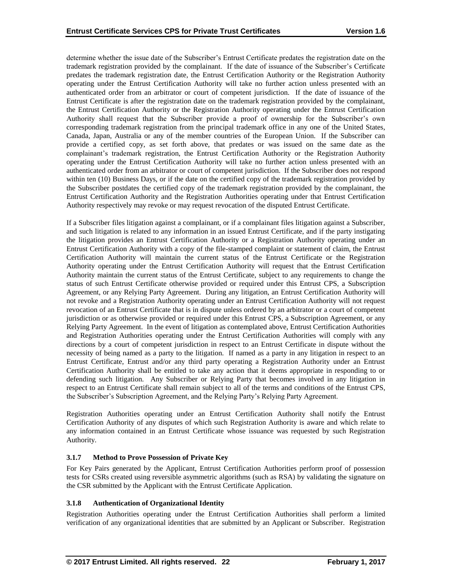determine whether the issue date of the Subscriber's Entrust Certificate predates the registration date on the trademark registration provided by the complainant. If the date of issuance of the Subscriber's Certificate predates the trademark registration date, the Entrust Certification Authority or the Registration Authority operating under the Entrust Certification Authority will take no further action unless presented with an authenticated order from an arbitrator or court of competent jurisdiction. If the date of issuance of the Entrust Certificate is after the registration date on the trademark registration provided by the complainant, the Entrust Certification Authority or the Registration Authority operating under the Entrust Certification Authority shall request that the Subscriber provide a proof of ownership for the Subscriber's own corresponding trademark registration from the principal trademark office in any one of the United States, Canada, Japan, Australia or any of the member countries of the European Union. If the Subscriber can provide a certified copy, as set forth above, that predates or was issued on the same date as the complainant's trademark registration, the Entrust Certification Authority or the Registration Authority operating under the Entrust Certification Authority will take no further action unless presented with an authenticated order from an arbitrator or court of competent jurisdiction. If the Subscriber does not respond within ten (10) Business Days, or if the date on the certified copy of the trademark registration provided by the Subscriber postdates the certified copy of the trademark registration provided by the complainant, the Entrust Certification Authority and the Registration Authorities operating under that Entrust Certification Authority respectively may revoke or may request revocation of the disputed Entrust Certificate.

If a Subscriber files litigation against a complainant, or if a complainant files litigation against a Subscriber, and such litigation is related to any information in an issued Entrust Certificate, and if the party instigating the litigation provides an Entrust Certification Authority or a Registration Authority operating under an Entrust Certification Authority with a copy of the file-stamped complaint or statement of claim, the Entrust Certification Authority will maintain the current status of the Entrust Certificate or the Registration Authority operating under the Entrust Certification Authority will request that the Entrust Certification Authority maintain the current status of the Entrust Certificate, subject to any requirements to change the status of such Entrust Certificate otherwise provided or required under this Entrust CPS, a Subscription Agreement, or any Relying Party Agreement. During any litigation, an Entrust Certification Authority will not revoke and a Registration Authority operating under an Entrust Certification Authority will not request revocation of an Entrust Certificate that is in dispute unless ordered by an arbitrator or a court of competent jurisdiction or as otherwise provided or required under this Entrust CPS, a Subscription Agreement, or any Relying Party Agreement. In the event of litigation as contemplated above, Entrust Certification Authorities and Registration Authorities operating under the Entrust Certification Authorities will comply with any directions by a court of competent jurisdiction in respect to an Entrust Certificate in dispute without the necessity of being named as a party to the litigation. If named as a party in any litigation in respect to an Entrust Certificate, Entrust and/or any third party operating a Registration Authority under an Entrust Certification Authority shall be entitled to take any action that it deems appropriate in responding to or defending such litigation. Any Subscriber or Relying Party that becomes involved in any litigation in respect to an Entrust Certificate shall remain subject to all of the terms and conditions of the Entrust CPS, the Subscriber's Subscription Agreement, and the Relying Party's Relying Party Agreement.

Registration Authorities operating under an Entrust Certification Authority shall notify the Entrust Certification Authority of any disputes of which such Registration Authority is aware and which relate to any information contained in an Entrust Certificate whose issuance was requested by such Registration Authority.

# **3.1.7 Method to Prove Possession of Private Key**

For Key Pairs generated by the Applicant, Entrust Certification Authorities perform proof of possession tests for CSRs created using reversible asymmetric algorithms (such as RSA) by validating the signature on the CSR submitted by the Applicant with the Entrust Certificate Application.

## **3.1.8 Authentication of Organizational Identity**

Registration Authorities operating under the Entrust Certification Authorities shall perform a limited verification of any organizational identities that are submitted by an Applicant or Subscriber. Registration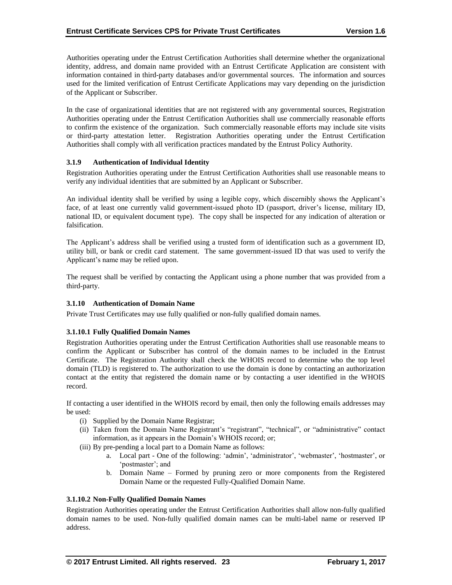Authorities operating under the Entrust Certification Authorities shall determine whether the organizational identity, address, and domain name provided with an Entrust Certificate Application are consistent with information contained in third-party databases and/or governmental sources. The information and sources used for the limited verification of Entrust Certificate Applications may vary depending on the jurisdiction of the Applicant or Subscriber.

In the case of organizational identities that are not registered with any governmental sources, Registration Authorities operating under the Entrust Certification Authorities shall use commercially reasonable efforts to confirm the existence of the organization. Such commercially reasonable efforts may include site visits or third-party attestation letter. Registration Authorities operating under the Entrust Certification Authorities shall comply with all verification practices mandated by the Entrust Policy Authority.

#### **3.1.9 Authentication of Individual Identity**

Registration Authorities operating under the Entrust Certification Authorities shall use reasonable means to verify any individual identities that are submitted by an Applicant or Subscriber.

An individual identity shall be verified by using a legible copy, which discernibly shows the Applicant's face, of at least one currently valid government-issued photo ID (passport, driver's license, military ID, national ID, or equivalent document type). The copy shall be inspected for any indication of alteration or falsification.

The Applicant's address shall be verified using a trusted form of identification such as a government ID, utility bill, or bank or credit card statement. The same government-issued ID that was used to verify the Applicant's name may be relied upon.

The request shall be verified by contacting the Applicant using a phone number that was provided from a third-party.

#### **3.1.10 Authentication of Domain Name**

Private Trust Certificates may use fully qualified or non-fully qualified domain names.

#### **3.1.10.1 Fully Qualified Domain Names**

Registration Authorities operating under the Entrust Certification Authorities shall use reasonable means to confirm the Applicant or Subscriber has control of the domain names to be included in the Entrust Certificate. The Registration Authority shall check the WHOIS record to determine who the top level domain (TLD) is registered to. The authorization to use the domain is done by contacting an authorization contact at the entity that registered the domain name or by contacting a user identified in the WHOIS record.

If contacting a user identified in the WHOIS record by email, then only the following emails addresses may be used:

- (i) Supplied by the Domain Name Registrar;
- (ii) Taken from the Domain Name Registrant's "registrant", "technical", or "administrative" contact information, as it appears in the Domain's WHOIS record; or;
- (iii) By pre-pending a local part to a Domain Name as follows:
	- a. Local part One of the following: 'admin', 'administrator', 'webmaster', 'hostmaster', or 'postmaster'; and
	- b. Domain Name Formed by pruning zero or more components from the Registered Domain Name or the requested Fully-Qualified Domain Name.

## **3.1.10.2 Non-Fully Qualified Domain Names**

Registration Authorities operating under the Entrust Certification Authorities shall allow non-fully qualified domain names to be used. Non-fully qualified domain names can be multi-label name or reserved IP address.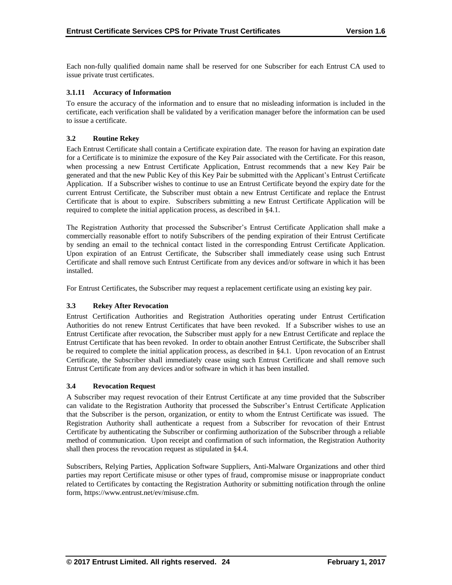Each non-fully qualified domain name shall be reserved for one Subscriber for each Entrust CA used to issue private trust certificates.

## **3.1.11 Accuracy of Information**

To ensure the accuracy of the information and to ensure that no misleading information is included in the certificate, each verification shall be validated by a verification manager before the information can be used to issue a certificate.

## **3.2 Routine Rekey**

Each Entrust Certificate shall contain a Certificate expiration date. The reason for having an expiration date for a Certificate is to minimize the exposure of the Key Pair associated with the Certificate. For this reason, when processing a new Entrust Certificate Application, Entrust recommends that a new Key Pair be generated and that the new Public Key of this Key Pair be submitted with the Applicant's Entrust Certificate Application. If a Subscriber wishes to continue to use an Entrust Certificate beyond the expiry date for the current Entrust Certificate, the Subscriber must obtain a new Entrust Certificate and replace the Entrust Certificate that is about to expire. Subscribers submitting a new Entrust Certificate Application will be required to complete the initial application process, as described in §4.1.

The Registration Authority that processed the Subscriber's Entrust Certificate Application shall make a commercially reasonable effort to notify Subscribers of the pending expiration of their Entrust Certificate by sending an email to the technical contact listed in the corresponding Entrust Certificate Application. Upon expiration of an Entrust Certificate, the Subscriber shall immediately cease using such Entrust Certificate and shall remove such Entrust Certificate from any devices and/or software in which it has been installed.

For Entrust Certificates, the Subscriber may request a replacement certificate using an existing key pair.

#### **3.3 Rekey After Revocation**

Entrust Certification Authorities and Registration Authorities operating under Entrust Certification Authorities do not renew Entrust Certificates that have been revoked. If a Subscriber wishes to use an Entrust Certificate after revocation, the Subscriber must apply for a new Entrust Certificate and replace the Entrust Certificate that has been revoked. In order to obtain another Entrust Certificate, the Subscriber shall be required to complete the initial application process, as described in §4.1. Upon revocation of an Entrust Certificate, the Subscriber shall immediately cease using such Entrust Certificate and shall remove such Entrust Certificate from any devices and/or software in which it has been installed.

#### **3.4 Revocation Request**

A Subscriber may request revocation of their Entrust Certificate at any time provided that the Subscriber can validate to the Registration Authority that processed the Subscriber's Entrust Certificate Application that the Subscriber is the person, organization, or entity to whom the Entrust Certificate was issued. The Registration Authority shall authenticate a request from a Subscriber for revocation of their Entrust Certificate by authenticating the Subscriber or confirming authorization of the Subscriber through a reliable method of communication. Upon receipt and confirmation of such information, the Registration Authority shall then process the revocation request as stipulated in §4.4.

Subscribers, Relying Parties, Application Software Suppliers, Anti-Malware Organizations and other third parties may report Certificate misuse or other types of fraud, compromise misuse or inappropriate conduct related to Certificates by contacting the Registration Authority or submitting notification through the online form, https://www.entrust.net/ev/misuse.cfm.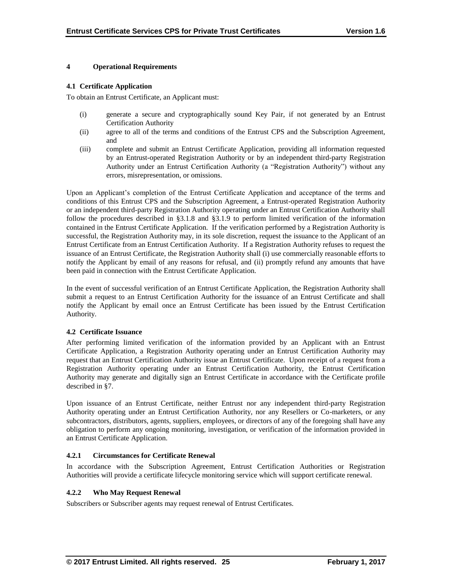#### **4 Operational Requirements**

#### **4.1 Certificate Application**

To obtain an Entrust Certificate, an Applicant must:

- (i) generate a secure and cryptographically sound Key Pair, if not generated by an Entrust Certification Authority
- (ii) agree to all of the terms and conditions of the Entrust CPS and the Subscription Agreement, and
- (iii) complete and submit an Entrust Certificate Application, providing all information requested by an Entrust-operated Registration Authority or by an independent third-party Registration Authority under an Entrust Certification Authority (a "Registration Authority") without any errors, misrepresentation, or omissions.

Upon an Applicant's completion of the Entrust Certificate Application and acceptance of the terms and conditions of this Entrust CPS and the Subscription Agreement, a Entrust-operated Registration Authority or an independent third-party Registration Authority operating under an Entrust Certification Authority shall follow the procedures described in §3.1.8 and §3.1.9 to perform limited verification of the information contained in the Entrust Certificate Application. If the verification performed by a Registration Authority is successful, the Registration Authority may, in its sole discretion, request the issuance to the Applicant of an Entrust Certificate from an Entrust Certification Authority. If a Registration Authority refuses to request the issuance of an Entrust Certificate, the Registration Authority shall (i) use commercially reasonable efforts to notify the Applicant by email of any reasons for refusal, and (ii) promptly refund any amounts that have been paid in connection with the Entrust Certificate Application.

In the event of successful verification of an Entrust Certificate Application, the Registration Authority shall submit a request to an Entrust Certification Authority for the issuance of an Entrust Certificate and shall notify the Applicant by email once an Entrust Certificate has been issued by the Entrust Certification Authority.

#### **4.2 Certificate Issuance**

After performing limited verification of the information provided by an Applicant with an Entrust Certificate Application, a Registration Authority operating under an Entrust Certification Authority may request that an Entrust Certification Authority issue an Entrust Certificate. Upon receipt of a request from a Registration Authority operating under an Entrust Certification Authority, the Entrust Certification Authority may generate and digitally sign an Entrust Certificate in accordance with the Certificate profile described in §7.

Upon issuance of an Entrust Certificate, neither Entrust nor any independent third-party Registration Authority operating under an Entrust Certification Authority, nor any Resellers or Co-marketers, or any subcontractors, distributors, agents, suppliers, employees, or directors of any of the foregoing shall have any obligation to perform any ongoing monitoring, investigation, or verification of the information provided in an Entrust Certificate Application.

## **4.2.1 Circumstances for Certificate Renewal**

In accordance with the Subscription Agreement, Entrust Certification Authorities or Registration Authorities will provide a certificate lifecycle monitoring service which will support certificate renewal.

#### **4.2.2 Who May Request Renewal**

Subscribers or Subscriber agents may request renewal of Entrust Certificates.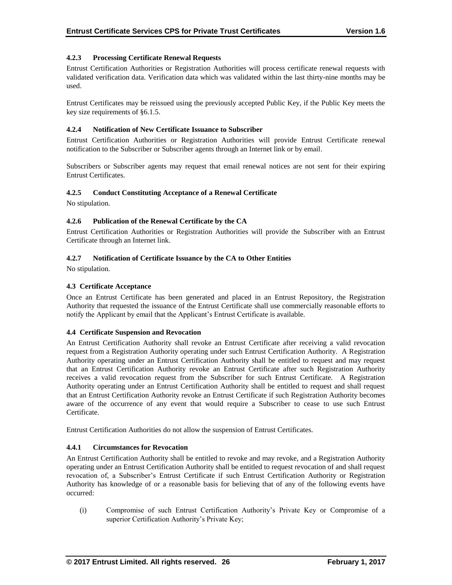## **4.2.3 Processing Certificate Renewal Requests**

Entrust Certification Authorities or Registration Authorities will process certificate renewal requests with validated verification data. Verification data which was validated within the last thirty-nine months may be used.

Entrust Certificates may be reissued using the previously accepted Public Key, if the Public Key meets the key size requirements of §6.1.5.

#### **4.2.4 Notification of New Certificate Issuance to Subscriber**

Entrust Certification Authorities or Registration Authorities will provide Entrust Certificate renewal notification to the Subscriber or Subscriber agents through an Internet link or by email.

Subscribers or Subscriber agents may request that email renewal notices are not sent for their expiring Entrust Certificates.

## **4.2.5 Conduct Constituting Acceptance of a Renewal Certificate**

No stipulation.

#### **4.2.6 Publication of the Renewal Certificate by the CA**

Entrust Certification Authorities or Registration Authorities will provide the Subscriber with an Entrust Certificate through an Internet link.

#### **4.2.7 Notification of Certificate Issuance by the CA to Other Entities**

No stipulation.

## **4.3 Certificate Acceptance**

Once an Entrust Certificate has been generated and placed in an Entrust Repository, the Registration Authority that requested the issuance of the Entrust Certificate shall use commercially reasonable efforts to notify the Applicant by email that the Applicant's Entrust Certificate is available.

#### **4.4 Certificate Suspension and Revocation**

An Entrust Certification Authority shall revoke an Entrust Certificate after receiving a valid revocation request from a Registration Authority operating under such Entrust Certification Authority. A Registration Authority operating under an Entrust Certification Authority shall be entitled to request and may request that an Entrust Certification Authority revoke an Entrust Certificate after such Registration Authority receives a valid revocation request from the Subscriber for such Entrust Certificate. A Registration Authority operating under an Entrust Certification Authority shall be entitled to request and shall request that an Entrust Certification Authority revoke an Entrust Certificate if such Registration Authority becomes aware of the occurrence of any event that would require a Subscriber to cease to use such Entrust Certificate.

Entrust Certification Authorities do not allow the suspension of Entrust Certificates.

## **4.4.1 Circumstances for Revocation**

An Entrust Certification Authority shall be entitled to revoke and may revoke, and a Registration Authority operating under an Entrust Certification Authority shall be entitled to request revocation of and shall request revocation of, a Subscriber's Entrust Certificate if such Entrust Certification Authority or Registration Authority has knowledge of or a reasonable basis for believing that of any of the following events have occurred:

(i) Compromise of such Entrust Certification Authority's Private Key or Compromise of a superior Certification Authority's Private Key;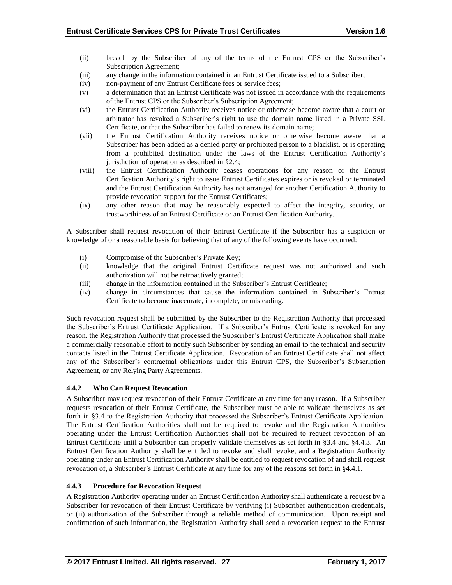- (ii) breach by the Subscriber of any of the terms of the Entrust CPS or the Subscriber's Subscription Agreement;
- (iii) any change in the information contained in an Entrust Certificate issued to a Subscriber;
- (iv) non-payment of any Entrust Certificate fees or service fees;
- (v) a determination that an Entrust Certificate was not issued in accordance with the requirements of the Entrust CPS or the Subscriber's Subscription Agreement;
- (vi) the Entrust Certification Authority receives notice or otherwise become aware that a court or arbitrator has revoked a Subscriber's right to use the domain name listed in a Private SSL Certificate, or that the Subscriber has failed to renew its domain name;
- (vii) the Entrust Certification Authority receives notice or otherwise become aware that a Subscriber has been added as a denied party or prohibited person to a blacklist, or is operating from a prohibited destination under the laws of the Entrust Certification Authority's jurisdiction of operation as described in §2.4;
- (viii) the Entrust Certification Authority ceases operations for any reason or the Entrust Certification Authority's right to issue Entrust Certificates expires or is revoked or terminated and the Entrust Certification Authority has not arranged for another Certification Authority to provide revocation support for the Entrust Certificates;
- (ix) any other reason that may be reasonably expected to affect the integrity, security, or trustworthiness of an Entrust Certificate or an Entrust Certification Authority.

A Subscriber shall request revocation of their Entrust Certificate if the Subscriber has a suspicion or knowledge of or a reasonable basis for believing that of any of the following events have occurred:

- (i) Compromise of the Subscriber's Private Key;
- (ii) knowledge that the original Entrust Certificate request was not authorized and such authorization will not be retroactively granted;
- (iii) change in the information contained in the Subscriber's Entrust Certificate;
- (iv) change in circumstances that cause the information contained in Subscriber's Entrust Certificate to become inaccurate, incomplete, or misleading.

Such revocation request shall be submitted by the Subscriber to the Registration Authority that processed the Subscriber's Entrust Certificate Application. If a Subscriber's Entrust Certificate is revoked for any reason, the Registration Authority that processed the Subscriber's Entrust Certificate Application shall make a commercially reasonable effort to notify such Subscriber by sending an email to the technical and security contacts listed in the Entrust Certificate Application. Revocation of an Entrust Certificate shall not affect any of the Subscriber's contractual obligations under this Entrust CPS, the Subscriber's Subscription Agreement, or any Relying Party Agreements.

# **4.4.2 Who Can Request Revocation**

A Subscriber may request revocation of their Entrust Certificate at any time for any reason. If a Subscriber requests revocation of their Entrust Certificate, the Subscriber must be able to validate themselves as set forth in §3.4 to the Registration Authority that processed the Subscriber's Entrust Certificate Application. The Entrust Certification Authorities shall not be required to revoke and the Registration Authorities operating under the Entrust Certification Authorities shall not be required to request revocation of an Entrust Certificate until a Subscriber can properly validate themselves as set forth in §3.4 and §4.4.3. An Entrust Certification Authority shall be entitled to revoke and shall revoke, and a Registration Authority operating under an Entrust Certification Authority shall be entitled to request revocation of and shall request revocation of, a Subscriber's Entrust Certificate at any time for any of the reasons set forth in §4.4.1.

#### **4.4.3 Procedure for Revocation Request**

A Registration Authority operating under an Entrust Certification Authority shall authenticate a request by a Subscriber for revocation of their Entrust Certificate by verifying (i) Subscriber authentication credentials, or (ii) authorization of the Subscriber through a reliable method of communication. Upon receipt and confirmation of such information, the Registration Authority shall send a revocation request to the Entrust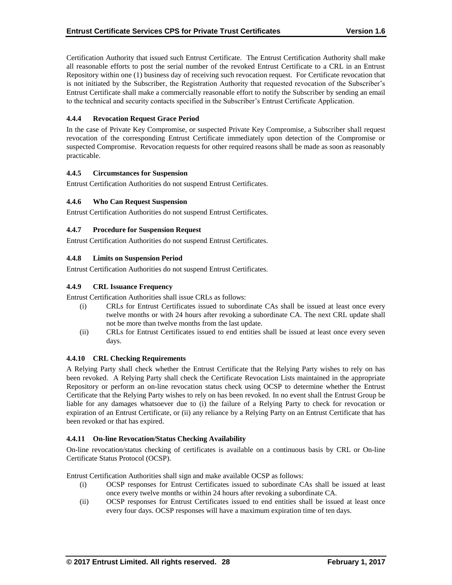Certification Authority that issued such Entrust Certificate. The Entrust Certification Authority shall make all reasonable efforts to post the serial number of the revoked Entrust Certificate to a CRL in an Entrust Repository within one (1) business day of receiving such revocation request. For Certificate revocation that is not initiated by the Subscriber, the Registration Authority that requested revocation of the Subscriber's Entrust Certificate shall make a commercially reasonable effort to notify the Subscriber by sending an email to the technical and security contacts specified in the Subscriber's Entrust Certificate Application.

## **4.4.4 Revocation Request Grace Period**

In the case of Private Key Compromise, or suspected Private Key Compromise, a Subscriber shall request revocation of the corresponding Entrust Certificate immediately upon detection of the Compromise or suspected Compromise. Revocation requests for other required reasons shall be made as soon as reasonably practicable.

#### **4.4.5 Circumstances for Suspension**

Entrust Certification Authorities do not suspend Entrust Certificates.

## **4.4.6 Who Can Request Suspension**

Entrust Certification Authorities do not suspend Entrust Certificates.

## **4.4.7 Procedure for Suspension Request**

Entrust Certification Authorities do not suspend Entrust Certificates.

## **4.4.8 Limits on Suspension Period**

Entrust Certification Authorities do not suspend Entrust Certificates.

## **4.4.9 CRL Issuance Frequency**

Entrust Certification Authorities shall issue CRLs as follows:

- (i) CRLs for Entrust Certificates issued to subordinate CAs shall be issued at least once every twelve months or with 24 hours after revoking a subordinate CA. The next CRL update shall not be more than twelve months from the last update.
- (ii) CRLs for Entrust Certificates issued to end entities shall be issued at least once every seven days.

#### **4.4.10 CRL Checking Requirements**

A Relying Party shall check whether the Entrust Certificate that the Relying Party wishes to rely on has been revoked. A Relying Party shall check the Certificate Revocation Lists maintained in the appropriate Repository or perform an on-line revocation status check using OCSP to determine whether the Entrust Certificate that the Relying Party wishes to rely on has been revoked. In no event shall the Entrust Group be liable for any damages whatsoever due to (i) the failure of a Relying Party to check for revocation or expiration of an Entrust Certificate, or (ii) any reliance by a Relying Party on an Entrust Certificate that has been revoked or that has expired.

#### **4.4.11 On-line Revocation/Status Checking Availability**

On-line revocation/status checking of certificates is available on a continuous basis by CRL or On-line Certificate Status Protocol (OCSP).

Entrust Certification Authorities shall sign and make available OCSP as follows:

- (i) OCSP responses for Entrust Certificates issued to subordinate CAs shall be issued at least once every twelve months or within 24 hours after revoking a subordinate CA.
- (ii) OCSP responses for Entrust Certificates issued to end entities shall be issued at least once every four days. OCSP responses will have a maximum expiration time of ten days.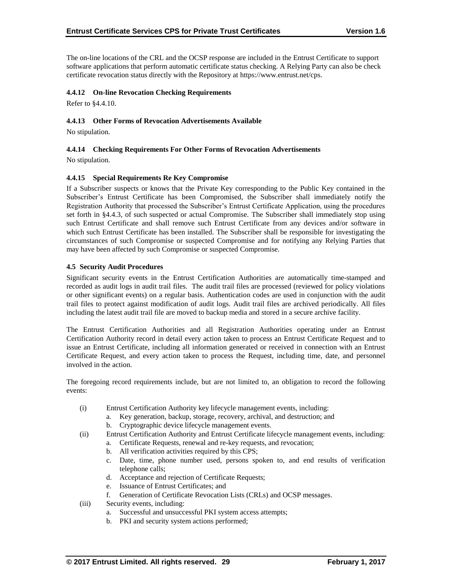The on-line locations of the CRL and the OCSP response are included in the Entrust Certificate to support software applications that perform automatic certificate status checking. A Relying Party can also be check certificate revocation status directly with the Repository at https://www.entrust.net/cps.

## **4.4.12 On-line Revocation Checking Requirements**

Refer to §4.4.10.

## **4.4.13 Other Forms of Revocation Advertisements Available**

No stipulation.

## **4.4.14 Checking Requirements For Other Forms of Revocation Advertisements**

No stipulation.

## **4.4.15 Special Requirements Re Key Compromise**

If a Subscriber suspects or knows that the Private Key corresponding to the Public Key contained in the Subscriber's Entrust Certificate has been Compromised, the Subscriber shall immediately notify the Registration Authority that processed the Subscriber's Entrust Certificate Application, using the procedures set forth in §4.4.3, of such suspected or actual Compromise. The Subscriber shall immediately stop using such Entrust Certificate and shall remove such Entrust Certificate from any devices and/or software in which such Entrust Certificate has been installed. The Subscriber shall be responsible for investigating the circumstances of such Compromise or suspected Compromise and for notifying any Relying Parties that may have been affected by such Compromise or suspected Compromise.

#### **4.5 Security Audit Procedures**

Significant security events in the Entrust Certification Authorities are automatically time-stamped and recorded as audit logs in audit trail files. The audit trail files are processed (reviewed for policy violations or other significant events) on a regular basis. Authentication codes are used in conjunction with the audit trail files to protect against modification of audit logs. Audit trail files are archived periodically. All files including the latest audit trail file are moved to backup media and stored in a secure archive facility.

The Entrust Certification Authorities and all Registration Authorities operating under an Entrust Certification Authority record in detail every action taken to process an Entrust Certificate Request and to issue an Entrust Certificate, including all information generated or received in connection with an Entrust Certificate Request, and every action taken to process the Request, including time, date, and personnel involved in the action.

The foregoing record requirements include, but are not limited to, an obligation to record the following events:

- (i) Entrust Certification Authority key lifecycle management events, including:
	- a. Key generation, backup, storage, recovery, archival, and destruction; and
	- b. Cryptographic device lifecycle management events.
- (ii) Entrust Certification Authority and Entrust Certificate lifecycle management events, including:
	- a. Certificate Requests, renewal and re-key requests, and revocation;
	- b. All verification activities required by this CPS;
	- c. Date, time, phone number used, persons spoken to, and end results of verification telephone calls;
	- d. Acceptance and rejection of Certificate Requests;
	- e. Issuance of Entrust Certificates; and
	- f. Generation of Certificate Revocation Lists (CRLs) and OCSP messages.
- (iii) Security events, including:
	- a. Successful and unsuccessful PKI system access attempts;
	- b. PKI and security system actions performed;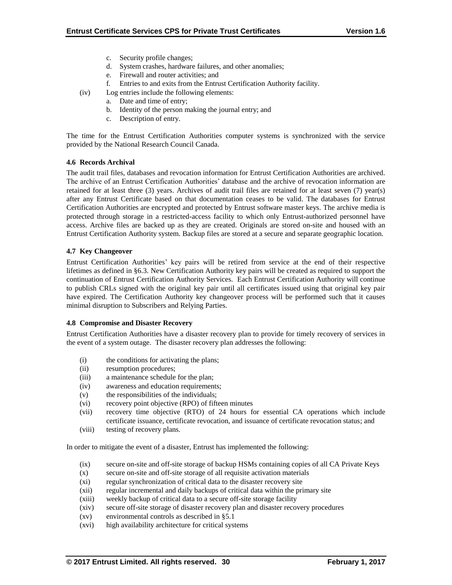- c. Security profile changes;
- d. System crashes, hardware failures, and other anomalies;
- e. Firewall and router activities; and
- f. Entries to and exits from the Entrust Certification Authority facility.
- (iv) Log entries include the following elements:
	- a. Date and time of entry;
	- b. Identity of the person making the journal entry; and
	- c. Description of entry.

The time for the Entrust Certification Authorities computer systems is synchronized with the service provided by the National Research Council Canada.

#### **4.6 Records Archival**

The audit trail files, databases and revocation information for Entrust Certification Authorities are archived. The archive of an Entrust Certification Authorities' database and the archive of revocation information are retained for at least three (3) years. Archives of audit trail files are retained for at least seven (7) year(s) after any Entrust Certificate based on that documentation ceases to be valid. The databases for Entrust Certification Authorities are encrypted and protected by Entrust software master keys. The archive media is protected through storage in a restricted-access facility to which only Entrust-authorized personnel have access. Archive files are backed up as they are created. Originals are stored on-site and housed with an Entrust Certification Authority system. Backup files are stored at a secure and separate geographic location.

## **4.7 Key Changeover**

Entrust Certification Authorities' key pairs will be retired from service at the end of their respective lifetimes as defined in §6.3. New Certification Authority key pairs will be created as required to support the continuation of Entrust Certification Authority Services. Each Entrust Certification Authority will continue to publish CRLs signed with the original key pair until all certificates issued using that original key pair have expired. The Certification Authority key changeover process will be performed such that it causes minimal disruption to Subscribers and Relying Parties.

#### **4.8 Compromise and Disaster Recovery**

Entrust Certification Authorities have a disaster recovery plan to provide for timely recovery of services in the event of a system outage. The disaster recovery plan addresses the following:

- (i) the conditions for activating the plans;
- (ii) resumption procedures;
- (iii) a maintenance schedule for the plan;
- (iv) awareness and education requirements;
- (v) the responsibilities of the individuals;
- (vi) recovery point objective (RPO) of fifteen minutes
- (vii) recovery time objective (RTO) of 24 hours for essential CA operations which include certificate issuance, certificate revocation, and issuance of certificate revocation status; and
- (viii) testing of recovery plans.

In order to mitigate the event of a disaster, Entrust has implemented the following:

- (ix) secure on-site and off-site storage of backup HSMs containing copies of all CA Private Keys
- (x) secure on-site and off-site storage of all requisite activation materials
- (xi) regular synchronization of critical data to the disaster recovery site
- (xii) regular incremental and daily backups of critical data within the primary site
- (xiii) weekly backup of critical data to a secure off-site storage facility
- (xiv) secure off-site storage of disaster recovery plan and disaster recovery procedures
- (xv) environmental controls as described in §5.1
- (xvi) high availability architecture for critical systems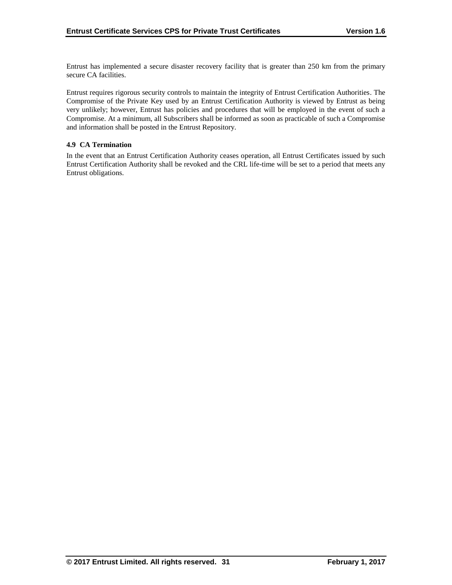Entrust has implemented a secure disaster recovery facility that is greater than 250 km from the primary secure CA facilities.

Entrust requires rigorous security controls to maintain the integrity of Entrust Certification Authorities. The Compromise of the Private Key used by an Entrust Certification Authority is viewed by Entrust as being very unlikely; however, Entrust has policies and procedures that will be employed in the event of such a Compromise. At a minimum, all Subscribers shall be informed as soon as practicable of such a Compromise and information shall be posted in the Entrust Repository.

## **4.9 CA Termination**

In the event that an Entrust Certification Authority ceases operation, all Entrust Certificates issued by such Entrust Certification Authority shall be revoked and the CRL life-time will be set to a period that meets any Entrust obligations.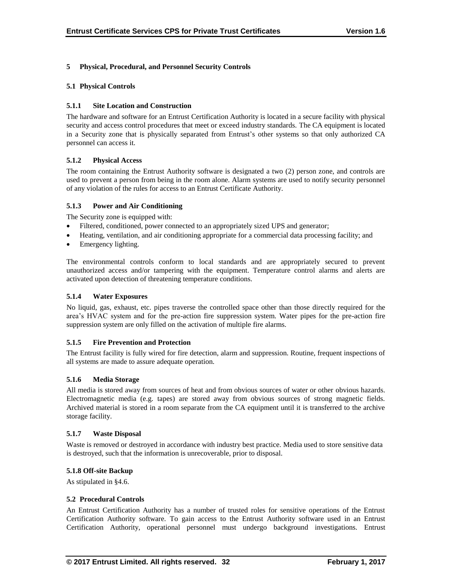## **5 Physical, Procedural, and Personnel Security Controls**

#### **5.1 Physical Controls**

## **5.1.1 Site Location and Construction**

The hardware and software for an Entrust Certification Authority is located in a secure facility with physical security and access control procedures that meet or exceed industry standards. The CA equipment is located in a Security zone that is physically separated from Entrust's other systems so that only authorized CA personnel can access it.

## **5.1.2 Physical Access**

The room containing the Entrust Authority software is designated a two (2) person zone, and controls are used to prevent a person from being in the room alone. Alarm systems are used to notify security personnel of any violation of the rules for access to an Entrust Certificate Authority.

## **5.1.3 Power and Air Conditioning**

The Security zone is equipped with:

- Filtered, conditioned, power connected to an appropriately sized UPS and generator;
- Heating, ventilation, and air conditioning appropriate for a commercial data processing facility; and
- Emergency lighting.

The environmental controls conform to local standards and are appropriately secured to prevent unauthorized access and/or tampering with the equipment. Temperature control alarms and alerts are activated upon detection of threatening temperature conditions.

## **5.1.4 Water Exposures**

No liquid, gas, exhaust, etc. pipes traverse the controlled space other than those directly required for the area's HVAC system and for the pre-action fire suppression system. Water pipes for the pre-action fire suppression system are only filled on the activation of multiple fire alarms.

#### **5.1.5 Fire Prevention and Protection**

The Entrust facility is fully wired for fire detection, alarm and suppression. Routine, frequent inspections of all systems are made to assure adequate operation.

### **5.1.6 Media Storage**

All media is stored away from sources of heat and from obvious sources of water or other obvious hazards. Electromagnetic media (e.g. tapes) are stored away from obvious sources of strong magnetic fields. Archived material is stored in a room separate from the CA equipment until it is transferred to the archive storage facility.

#### **5.1.7 Waste Disposal**

Waste is removed or destroyed in accordance with industry best practice. Media used to store sensitive data is destroyed, such that the information is unrecoverable, prior to disposal.

#### **5.1.8 Off-site Backup**

As stipulated in §4.6.

## **5.2 Procedural Controls**

An Entrust Certification Authority has a number of trusted roles for sensitive operations of the Entrust Certification Authority software. To gain access to the Entrust Authority software used in an Entrust Certification Authority, operational personnel must undergo background investigations. Entrust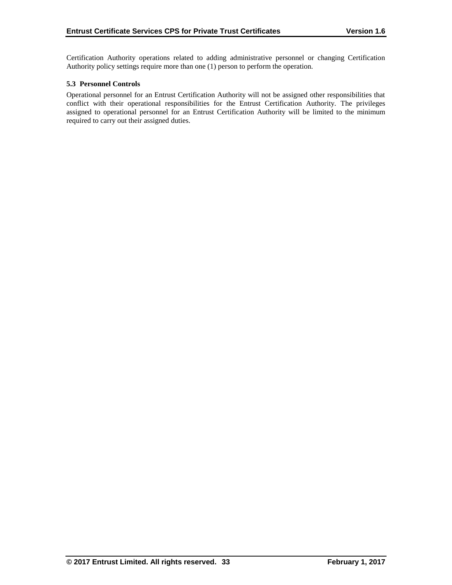Certification Authority operations related to adding administrative personnel or changing Certification Authority policy settings require more than one (1) person to perform the operation.

## **5.3 Personnel Controls**

Operational personnel for an Entrust Certification Authority will not be assigned other responsibilities that conflict with their operational responsibilities for the Entrust Certification Authority. The privileges assigned to operational personnel for an Entrust Certification Authority will be limited to the minimum required to carry out their assigned duties.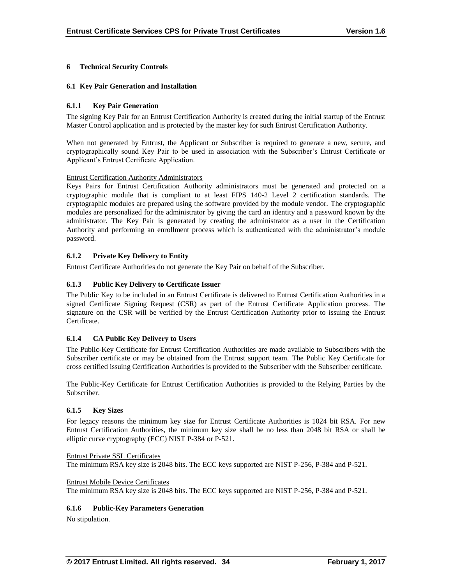## **6 Technical Security Controls**

#### **6.1 Key Pair Generation and Installation**

## **6.1.1 Key Pair Generation**

The signing Key Pair for an Entrust Certification Authority is created during the initial startup of the Entrust Master Control application and is protected by the master key for such Entrust Certification Authority.

When not generated by Entrust, the Applicant or Subscriber is required to generate a new, secure, and cryptographically sound Key Pair to be used in association with the Subscriber's Entrust Certificate or Applicant's Entrust Certificate Application.

#### Entrust Certification Authority Administrators

Keys Pairs for Entrust Certification Authority administrators must be generated and protected on a cryptographic module that is compliant to at least FIPS 140-2 Level 2 certification standards. The cryptographic modules are prepared using the software provided by the module vendor. The cryptographic modules are personalized for the administrator by giving the card an identity and a password known by the administrator. The Key Pair is generated by creating the administrator as a user in the Certification Authority and performing an enrollment process which is authenticated with the administrator's module password.

## **6.1.2 Private Key Delivery to Entity**

Entrust Certificate Authorities do not generate the Key Pair on behalf of the Subscriber.

# **6.1.3 Public Key Delivery to Certificate Issuer**

The Public Key to be included in an Entrust Certificate is delivered to Entrust Certification Authorities in a signed Certificate Signing Request (CSR) as part of the Entrust Certificate Application process. The signature on the CSR will be verified by the Entrust Certification Authority prior to issuing the Entrust Certificate.

# **6.1.4 CA Public Key Delivery to Users**

The Public-Key Certificate for Entrust Certification Authorities are made available to Subscribers with the Subscriber certificate or may be obtained from the Entrust support team. The Public Key Certificate for cross certified issuing Certification Authorities is provided to the Subscriber with the Subscriber certificate.

The Public-Key Certificate for Entrust Certification Authorities is provided to the Relying Parties by the Subscriber.

#### **6.1.5 Key Sizes**

For legacy reasons the minimum key size for Entrust Certificate Authorities is 1024 bit RSA. For new Entrust Certification Authorities, the minimum key size shall be no less than 2048 bit RSA or shall be elliptic curve cryptography (ECC) NIST P-384 or P-521.

#### Entrust Private SSL Certificates

The minimum RSA key size is 2048 bits. The ECC keys supported are NIST P-256, P-384 and P-521.

#### Entrust Mobile Device Certificates

The minimum RSA key size is 2048 bits. The ECC keys supported are NIST P-256, P-384 and P-521.

#### **6.1.6 Public-Key Parameters Generation**

No stipulation.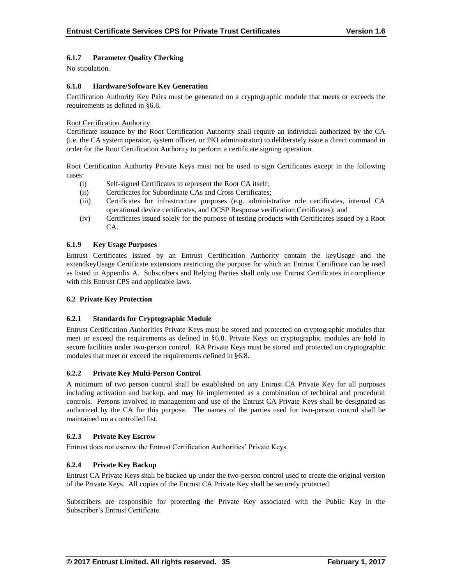# **6.1.7 Parameter Quality Checking**

No stipulation.

## **6.1.8 Hardware/Software Key Generation**

Certification Authority Key Pairs must be generated on a cryptographic module that meets or exceeds the requirements as defined in §6.8.

## Root Certification Authority

Certificate issuance by the Root Certification Authority shall require an individual authorized by the CA (i.e. the CA system operator, system officer, or PKI administrator) to deliberately issue a direct command in order for the Root Certification Authority to perform a certificate signing operation.

Root Certification Authority Private Keys must not be used to sign Certificates except in the following cases:

- (i) Self-signed Certificates to represent the Root CA itself;
- (ii) Certificates for Subordinate CAs and Cross Certificates;
- (iii) Certificates for infrastructure purposes (e.g. administrative role certificates, internal CA operational device certificates, and OCSP Response verification Certificates); and
- (iv) Certificates issued solely for the purpose of testing products with Certificates issued by a Root CA.

## **6.1.9 Key Usage Purposes**

Entrust Certificates issued by an Entrust Certification Authority contain the keyUsage and the extendkeyUsage Certificate extensions restricting the purpose for which an Entrust Certificate can be used as listed in Appendix A. Subscribers and Relying Parties shall only use Entrust Certificates in compliance with this Entrust CPS and applicable laws.

#### **6.2 Private Key Protection**

# **6.2.1 Standards for Cryptographic Module**

Entrust Certification Authorities Private Keys must be stored and protected on cryptographic modules that meet or exceed the requirements as defined in §6.8. Private Keys on cryptographic modules are held in secure facilities under two-person control. RA Private Keys must be stored and protected on cryptographic modules that meet or exceed the requirements defined in §6.8.

#### **6.2.2 Private Key Multi-Person Control**

A minimum of two person control shall be established on any Entrust CA Private Key for all purposes including activation and backup, and may be implemented as a combination of technical and procedural controls. Persons involved in management and use of the Entrust CA Private Keys shall be designated as authorized by the CA for this purpose. The names of the parties used for two-person control shall be maintained on a controlled list.

#### **6.2.3 Private Key Escrow**

Entrust does not escrow the Entrust Certification Authorities' Private Keys.

# **6.2.4 Private Key Backup**

Entrust CA Private Keys shall be backed up under the two-person control used to create the original version of the Private Keys. All copies of the Entrust CA Private Key shall be securely protected.

Subscribers are responsible for protecting the Private Key associated with the Public Key in the Subscriber's Entrust Certificate.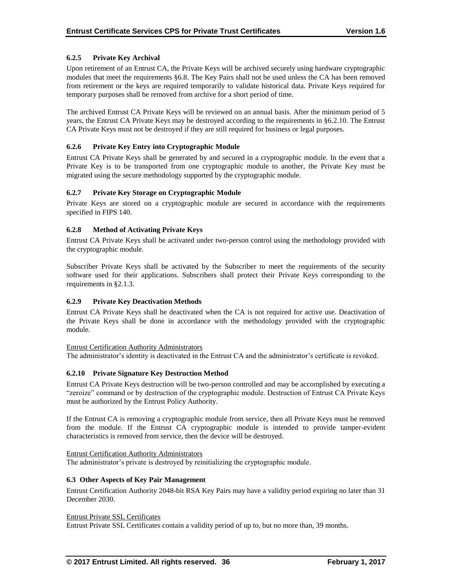## **6.2.5 Private Key Archival**

Upon retirement of an Entrust CA, the Private Keys will be archived securely using hardware cryptographic modules that meet the requirements §6.8. The Key Pairs shall not be used unless the CA has been removed from retirement or the keys are required temporarily to validate historical data. Private Keys required for temporary purposes shall be removed from archive for a short period of time.

The archived Entrust CA Private Keys will be reviewed on an annual basis. After the minimum period of 5 years, the Entrust CA Private Keys may be destroyed according to the requirements in §6.2.10. The Entrust CA Private Keys must not be destroyed if they are still required for business or legal purposes.

## **6.2.6 Private Key Entry into Cryptographic Module**

Entrust CA Private Keys shall be generated by and secured in a cryptographic module. In the event that a Private Key is to be transported from one cryptographic module to another, the Private Key must be migrated using the secure methodology supported by the cryptographic module.

## **6.2.7 Private Key Storage on Cryptographic Module**

Private Keys are stored on a cryptographic module are secured in accordance with the requirements specified in FIPS 140.

## **6.2.8 Method of Activating Private Keys**

Entrust CA Private Keys shall be activated under two-person control using the methodology provided with the cryptographic module.

Subscriber Private Keys shall be activated by the Subscriber to meet the requirements of the security software used for their applications. Subscribers shall protect their Private Keys corresponding to the requirements in §2.1.3.

#### **6.2.9 Private Key Deactivation Methods**

Entrust CA Private Keys shall be deactivated when the CA is not required for active use. Deactivation of the Private Keys shall be done in accordance with the methodology provided with the cryptographic module.

#### Entrust Certification Authority Administrators

The administrator's identity is deactivated in the Entrust CA and the administrator's certificate is revoked.

## **6.2.10 Private Signature Key Destruction Method**

Entrust CA Private Keys destruction will be two-person controlled and may be accomplished by executing a "zeroize" command or by destruction of the cryptographic module. Destruction of Entrust CA Private Keys must be authorized by the Entrust Policy Authority.

If the Entrust CA is removing a cryptographic module from service, then all Private Keys must be removed from the module. If the Entrust CA cryptographic module is intended to provide tamper-evident characteristics is removed from service, then the device will be destroyed.

#### Entrust Certification Authority Administrators

The administrator's private is destroyed by reinitializing the cryptographic module.

#### **6.3 Other Aspects of Key Pair Management**

Entrust Certification Authority 2048-bit RSA Key Pairs may have a validity period expiring no later than 31 December 2030.

#### Entrust Private SSL Certificates

Entrust Private SSL Certificates contain a validity period of up to, but no more than, 39 months.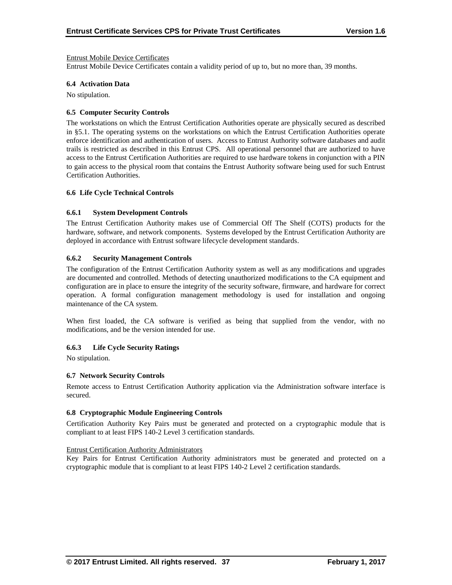#### Entrust Mobile Device Certificates

Entrust Mobile Device Certificates contain a validity period of up to, but no more than, 39 months.

#### **6.4 Activation Data**

No stipulation.

#### **6.5 Computer Security Controls**

The workstations on which the Entrust Certification Authorities operate are physically secured as described in §5.1. The operating systems on the workstations on which the Entrust Certification Authorities operate enforce identification and authentication of users. Access to Entrust Authority software databases and audit trails is restricted as described in this Entrust CPS. All operational personnel that are authorized to have access to the Entrust Certification Authorities are required to use hardware tokens in conjunction with a PIN to gain access to the physical room that contains the Entrust Authority software being used for such Entrust Certification Authorities.

#### **6.6 Life Cycle Technical Controls**

#### **6.6.1 System Development Controls**

The Entrust Certification Authority makes use of Commercial Off The Shelf (COTS) products for the hardware, software, and network components. Systems developed by the Entrust Certification Authority are deployed in accordance with Entrust software lifecycle development standards.

#### **6.6.2 Security Management Controls**

The configuration of the Entrust Certification Authority system as well as any modifications and upgrades are documented and controlled. Methods of detecting unauthorized modifications to the CA equipment and configuration are in place to ensure the integrity of the security software, firmware, and hardware for correct operation. A formal configuration management methodology is used for installation and ongoing maintenance of the CA system.

When first loaded, the CA software is verified as being that supplied from the vendor, with no modifications, and be the version intended for use.

#### **6.6.3 Life Cycle Security Ratings**

No stipulation.

#### **6.7 Network Security Controls**

Remote access to Entrust Certification Authority application via the Administration software interface is secured.

#### **6.8 Cryptographic Module Engineering Controls**

Certification Authority Key Pairs must be generated and protected on a cryptographic module that is compliant to at least FIPS 140-2 Level 3 certification standards.

#### Entrust Certification Authority Administrators

Key Pairs for Entrust Certification Authority administrators must be generated and protected on a cryptographic module that is compliant to at least FIPS 140-2 Level 2 certification standards.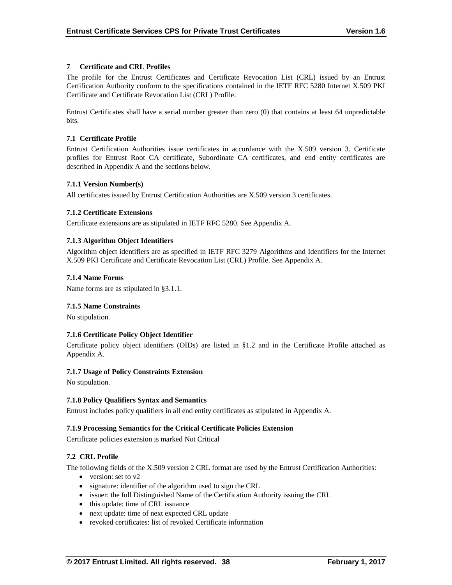## **7 Certificate and CRL Profiles**

The profile for the Entrust Certificates and Certificate Revocation List (CRL) issued by an Entrust Certification Authority conform to the specifications contained in the IETF RFC 5280 Internet X.509 PKI Certificate and Certificate Revocation List (CRL) Profile.

Entrust Certificates shall have a serial number greater than zero (0) that contains at least 64 unpredictable bits.

## **7.1 Certificate Profile**

Entrust Certification Authorities issue certificates in accordance with the X.509 version 3. Certificate profiles for Entrust Root CA certificate, Subordinate CA certificates, and end entity certificates are described in Appendix A and the sections below.

#### **7.1.1 Version Number(s)**

All certificates issued by Entrust Certification Authorities are X.509 version 3 certificates.

## **7.1.2 Certificate Extensions**

Certificate extensions are as stipulated in IETF RFC 5280. See Appendix A.

## **7.1.3 Algorithm Object Identifiers**

Algorithm object identifiers are as specified in IETF RFC 3279 Algorithms and Identifiers for the Internet X.509 PKI Certificate and Certificate Revocation List (CRL) Profile. See Appendix A.

#### **7.1.4 Name Forms**

Name forms are as stipulated in §3.1.1.

#### **7.1.5 Name Constraints**

No stipulation.

#### **7.1.6 Certificate Policy Object Identifier**

Certificate policy object identifiers (OIDs) are listed in §1.2 and in the Certificate Profile attached as Appendix A.

#### **7.1.7 Usage of Policy Constraints Extension**

No stipulation.

#### **7.1.8 Policy Qualifiers Syntax and Semantics**

Entrust includes policy qualifiers in all end entity certificates as stipulated in Appendix A.

#### **7.1.9 Processing Semantics for the Critical Certificate Policies Extension**

Certificate policies extension is marked Not Critical

# **7.2 CRL Profile**

The following fields of the X.509 version 2 CRL format are used by the Entrust Certification Authorities:

- $\bullet$  version: set to v2
- signature: identifier of the algorithm used to sign the CRL
- issuer: the full Distinguished Name of the Certification Authority issuing the CRL
- this update: time of CRL issuance
- next update: time of next expected CRL update
- revoked certificates: list of revoked Certificate information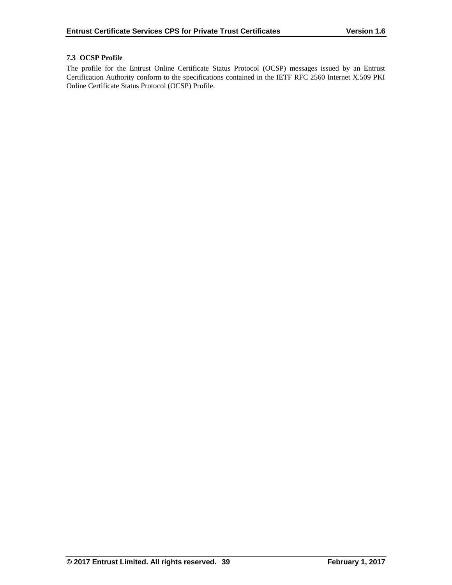# **7.3 OCSP Profile**

The profile for the Entrust Online Certificate Status Protocol (OCSP) messages issued by an Entrust Certification Authority conform to the specifications contained in the IETF RFC 2560 Internet X.509 PKI Online Certificate Status Protocol (OCSP) Profile.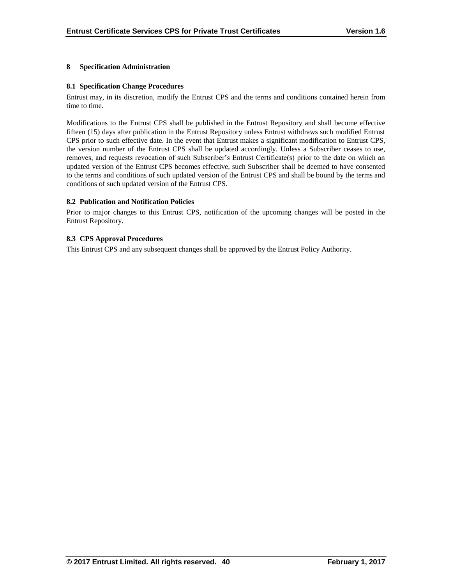## **8 Specification Administration**

#### **8.1 Specification Change Procedures**

Entrust may, in its discretion, modify the Entrust CPS and the terms and conditions contained herein from time to time.

Modifications to the Entrust CPS shall be published in the Entrust Repository and shall become effective fifteen (15) days after publication in the Entrust Repository unless Entrust withdraws such modified Entrust CPS prior to such effective date. In the event that Entrust makes a significant modification to Entrust CPS, the version number of the Entrust CPS shall be updated accordingly. Unless a Subscriber ceases to use, removes, and requests revocation of such Subscriber's Entrust Certificate(s) prior to the date on which an updated version of the Entrust CPS becomes effective, such Subscriber shall be deemed to have consented to the terms and conditions of such updated version of the Entrust CPS and shall be bound by the terms and conditions of such updated version of the Entrust CPS.

## **8.2 Publication and Notification Policies**

Prior to major changes to this Entrust CPS, notification of the upcoming changes will be posted in the Entrust Repository.

## **8.3 CPS Approval Procedures**

This Entrust CPS and any subsequent changes shall be approved by the Entrust Policy Authority.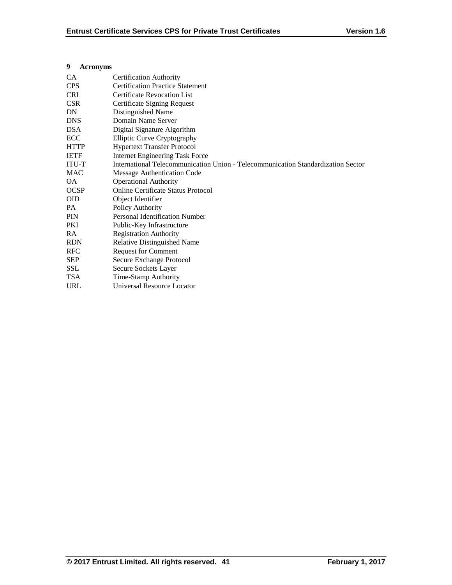**9 Acronyms**

## CA Certification Authority CPS Certification Practice Statement CRL Certificate Revocation List CSR Certificate Signing Request DN Distinguished Name DNS Domain Name Server DSA Digital Signature Algorithm ECC Elliptic Curve Cryptography HTTP Hypertext Transfer Protocol<br>IETF Internet Engineering Task Fo Internet Engineering Task Force ITU-T International Telecommunication Union - Telecommunication Standardization Sector MAC Message Authentication Code OA Operational Authority OCSP Online Certificate Status Protocol OID Object Identifier PA Policy Authority

PIN Personal Identification Number PKI Public-Key Infrastructure RA Registration Authority RDN Relative Distinguished Name RFC Request for Comment SEP Secure Exchange Protocol SSL Secure Sockets Layer TSA Time-Stamp Authority URL Universal Resource Locator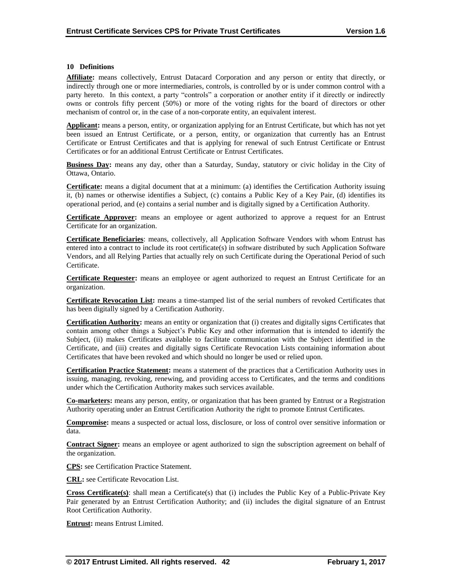#### **10 Definitions**

**Affiliate:** means collectively, Entrust Datacard Corporation and any person or entity that directly, or indirectly through one or more intermediaries, controls, is controlled by or is under common control with a party hereto. In this context, a party "controls" a corporation or another entity if it directly or indirectly owns or controls fifty percent (50%) or more of the voting rights for the board of directors or other mechanism of control or, in the case of a non-corporate entity, an equivalent interest.

**Applicant:** means a person, entity, or organization applying for an Entrust Certificate, but which has not yet been issued an Entrust Certificate, or a person, entity, or organization that currently has an Entrust Certificate or Entrust Certificates and that is applying for renewal of such Entrust Certificate or Entrust Certificates or for an additional Entrust Certificate or Entrust Certificates.

**Business Day:** means any day, other than a Saturday, Sunday, statutory or civic holiday in the City of Ottawa, Ontario.

**Certificate:** means a digital document that at a minimum: (a) identifies the Certification Authority issuing it, (b) names or otherwise identifies a Subject, (c) contains a Public Key of a Key Pair, (d) identifies its operational period, and (e) contains a serial number and is digitally signed by a Certification Authority.

**Certificate Approver:** means an employee or agent authorized to approve a request for an Entrust Certificate for an organization.

**Certificate Beneficiaries**: means, collectively, all Application Software Vendors with whom Entrust has entered into a contract to include its root certificate(s) in software distributed by such Application Software Vendors, and all Relying Parties that actually rely on such Certificate during the Operational Period of such Certificate.

**Certificate Requester:** means an employee or agent authorized to request an Entrust Certificate for an organization.

**Certificate Revocation List:** means a time-stamped list of the serial numbers of revoked Certificates that has been digitally signed by a Certification Authority.

**Certification Authority:** means an entity or organization that (i) creates and digitally signs Certificates that contain among other things a Subject's Public Key and other information that is intended to identify the Subject, (ii) makes Certificates available to facilitate communication with the Subject identified in the Certificate, and (iii) creates and digitally signs Certificate Revocation Lists containing information about Certificates that have been revoked and which should no longer be used or relied upon.

**Certification Practice Statement:** means a statement of the practices that a Certification Authority uses in issuing, managing, revoking, renewing, and providing access to Certificates, and the terms and conditions under which the Certification Authority makes such services available.

**Co-marketers:** means any person, entity, or organization that has been granted by Entrust or a Registration Authority operating under an Entrust Certification Authority the right to promote Entrust Certificates.

**Compromise:** means a suspected or actual loss, disclosure, or loss of control over sensitive information or data.

**Contract Signer:** means an employee or agent authorized to sign the subscription agreement on behalf of the organization.

**CPS:** see Certification Practice Statement.

**CRL:** see Certificate Revocation List.

**Cross Certificate(s)**: shall mean a Certificate(s) that (i) includes the Public Key of a Public-Private Key Pair generated by an Entrust Certification Authority; and (ii) includes the digital signature of an Entrust Root Certification Authority.

**Entrust:** means Entrust Limited.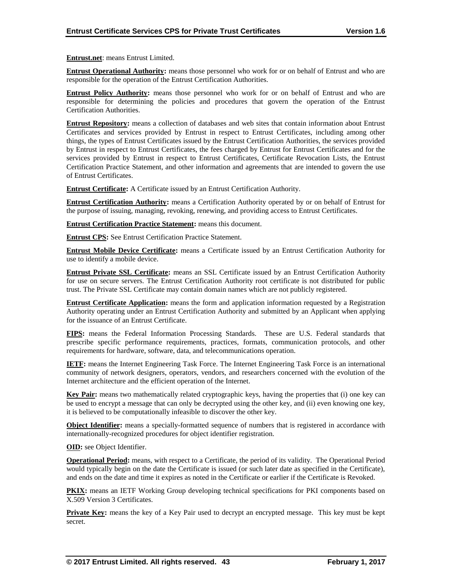**Entrust.net**: means Entrust Limited.

**Entrust Operational Authority:** means those personnel who work for or on behalf of Entrust and who are responsible for the operation of the Entrust Certification Authorities.

**Entrust Policy Authority:** means those personnel who work for or on behalf of Entrust and who are responsible for determining the policies and procedures that govern the operation of the Entrust Certification Authorities.

**Entrust Repository:** means a collection of databases and web sites that contain information about Entrust Certificates and services provided by Entrust in respect to Entrust Certificates, including among other things, the types of Entrust Certificates issued by the Entrust Certification Authorities, the services provided by Entrust in respect to Entrust Certificates, the fees charged by Entrust for Entrust Certificates and for the services provided by Entrust in respect to Entrust Certificates, Certificate Revocation Lists, the Entrust Certification Practice Statement, and other information and agreements that are intended to govern the use of Entrust Certificates.

**Entrust Certificate:** A Certificate issued by an Entrust Certification Authority.

**Entrust Certification Authority:** means a Certification Authority operated by or on behalf of Entrust for the purpose of issuing, managing, revoking, renewing, and providing access to Entrust Certificates.

**Entrust Certification Practice Statement:** means this document.

**Entrust CPS:** See Entrust Certification Practice Statement.

**Entrust Mobile Device Certificate:** means a Certificate issued by an Entrust Certification Authority for use to identify a mobile device.

**Entrust Private SSL Certificate:** means an SSL Certificate issued by an Entrust Certification Authority for use on secure servers. The Entrust Certification Authority root certificate is not distributed for public trust. The Private SSL Certificate may contain domain names which are not publicly registered.

**Entrust Certificate Application:** means the form and application information requested by a Registration Authority operating under an Entrust Certification Authority and submitted by an Applicant when applying for the issuance of an Entrust Certificate.

**FIPS:** means the Federal Information Processing Standards. These are U.S. Federal standards that prescribe specific performance requirements, practices, formats, communication protocols, and other requirements for hardware, software, data, and telecommunications operation.

**IETF:** means the Internet Engineering Task Force. The Internet Engineering Task Force is an international community of network designers, operators, vendors, and researchers concerned with the evolution of the Internet architecture and the efficient operation of the Internet.

**Key Pair:** means two mathematically related cryptographic keys, having the properties that (i) one key can be used to encrypt a message that can only be decrypted using the other key, and (ii) even knowing one key, it is believed to be computationally infeasible to discover the other key.

**Object Identifier:** means a specially-formatted sequence of numbers that is registered in accordance with internationally-recognized procedures for object identifier registration.

**OID:** see Object Identifier.

**Operational Period:** means, with respect to a Certificate, the period of its validity. The Operational Period would typically begin on the date the Certificate is issued (or such later date as specified in the Certificate), and ends on the date and time it expires as noted in the Certificate or earlier if the Certificate is Revoked.

**PKIX:** means an IETF Working Group developing technical specifications for PKI components based on X.509 Version 3 Certificates.

**Private Key:** means the key of a Key Pair used to decrypt an encrypted message. This key must be kept secret.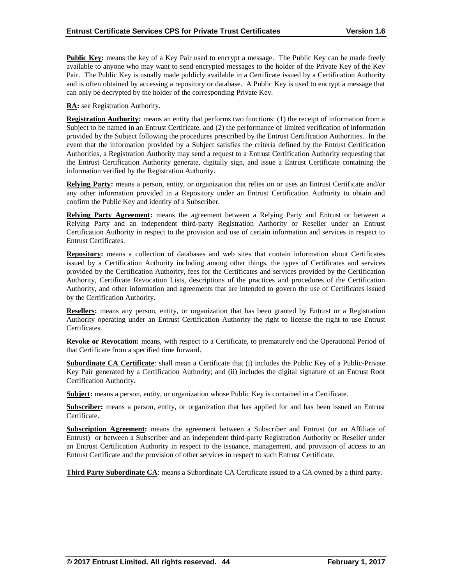**Public Key:** means the key of a Key Pair used to encrypt a message. The Public Key can be made freely available to anyone who may want to send encrypted messages to the holder of the Private Key of the Key Pair. The Public Key is usually made publicly available in a Certificate issued by a Certification Authority and is often obtained by accessing a repository or database. A Public Key is used to encrypt a message that can only be decrypted by the holder of the corresponding Private Key.

**RA:** see Registration Authority.

**Registration Authority:** means an entity that performs two functions: (1) the receipt of information from a Subject to be named in an Entrust Certificate, and (2) the performance of limited verification of information provided by the Subject following the procedures prescribed by the Entrust Certification Authorities. In the event that the information provided by a Subject satisfies the criteria defined by the Entrust Certification Authorities, a Registration Authority may send a request to a Entrust Certification Authority requesting that the Entrust Certification Authority generate, digitally sign, and issue a Entrust Certificate containing the information verified by the Registration Authority.

**Relying Party:** means a person, entity, or organization that relies on or uses an Entrust Certificate and/or any other information provided in a Repository under an Entrust Certification Authority to obtain and confirm the Public Key and identity of a Subscriber.

**Relying Party Agreement:** means the agreement between a Relying Party and Entrust or between a Relying Party and an independent third-party Registration Authority or Reseller under an Entrust Certification Authority in respect to the provision and use of certain information and services in respect to Entrust Certificates.

**Repository:** means a collection of databases and web sites that contain information about Certificates issued by a Certification Authority including among other things, the types of Certificates and services provided by the Certification Authority, fees for the Certificates and services provided by the Certification Authority, Certificate Revocation Lists, descriptions of the practices and procedures of the Certification Authority, and other information and agreements that are intended to govern the use of Certificates issued by the Certification Authority.

**Resellers:** means any person, entity, or organization that has been granted by Entrust or a Registration Authority operating under an Entrust Certification Authority the right to license the right to use Entrust Certificates.

**Revoke or Revocation:** means, with respect to a Certificate, to prematurely end the Operational Period of that Certificate from a specified time forward.

**Subordinate CA Certificate**: shall mean a Certificate that (i) includes the Public Key of a Public-Private Key Pair generated by a Certification Authority; and (ii) includes the digital signature of an Entrust Root Certification Authority.

**Subject:** means a person, entity, or organization whose Public Key is contained in a Certificate.

**Subscriber:** means a person, entity, or organization that has applied for and has been issued an Entrust Certificate.

**Subscription Agreement:** means the agreement between a Subscriber and Entrust (or an Affiliate of Entrust) or between a Subscriber and an independent third-party Registration Authority or Reseller under an Entrust Certification Authority in respect to the issuance, management, and provision of access to an Entrust Certificate and the provision of other services in respect to such Entrust Certificate.

**Third Party Subordinate CA**: means a Subordinate CA Certificate issued to a CA owned by a third party.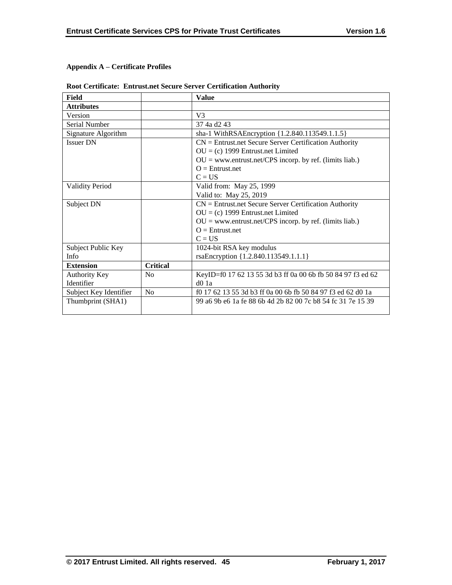# **Appendix A – Certificate Profiles**

| Field                  |                 | <b>Value</b>                                                |
|------------------------|-----------------|-------------------------------------------------------------|
| <b>Attributes</b>      |                 |                                                             |
| Version                |                 | V <sub>3</sub>                                              |
| Serial Number          |                 | 37 4a d2 43                                                 |
| Signature Algorithm    |                 | sha-1 WithRSAEncryption {1.2.840.113549.1.1.5}              |
| <b>Issuer DN</b>       |                 | $CN =$ Entrust.net Secure Server Certification Authority    |
|                        |                 | $OU = (c)$ 1999 Entrust.net Limited                         |
|                        |                 | $OU = www.entrust.net/CPS incorp. by ref. (limits liab.)$   |
|                        |                 | $Q =$ Entrust.net                                           |
|                        |                 | $C = US$                                                    |
| <b>Validity Period</b> |                 | Valid from: May 25, 1999                                    |
|                        |                 | Valid to: May 25, 2019                                      |
| Subject DN             |                 | $CN =$ Entrust.net Secure Server Certification Authority    |
|                        |                 | $OU = (c)$ 1999 Entrust.net Limited                         |
|                        |                 | $OU = www.entrust.net/CPS incorp. by ref. (limits liab.)$   |
|                        |                 | $O =$ Entrust.net                                           |
|                        |                 | $C = US$                                                    |
| Subject Public Key     |                 | 1024-bit RSA key modulus                                    |
| Info                   |                 | rsaEncryption {1.2.840.113549.1.1.1}                        |
| <b>Extension</b>       | <b>Critical</b> |                                                             |
| Authority Key          | N <sub>0</sub>  | KeyID=f0 17 62 13 55 3d b3 ff 0a 00 6b fb 50 84 97 f3 ed 62 |
| Identifier             |                 | $d0$ 1a                                                     |
| Subject Key Identifier | N <sub>0</sub>  | f0 17 62 13 55 3d b3 ff 0a 00 6b fb 50 84 97 f3 ed 62 d0 1a |
| Thumbprint (SHA1)      |                 | 99 a6 9b e6 1a fe 88 6b 4d 2b 82 00 7c b8 54 fc 31 7e 15 39 |
|                        |                 |                                                             |

# **Root Certificate: Entrust.net Secure Server Certification Authority**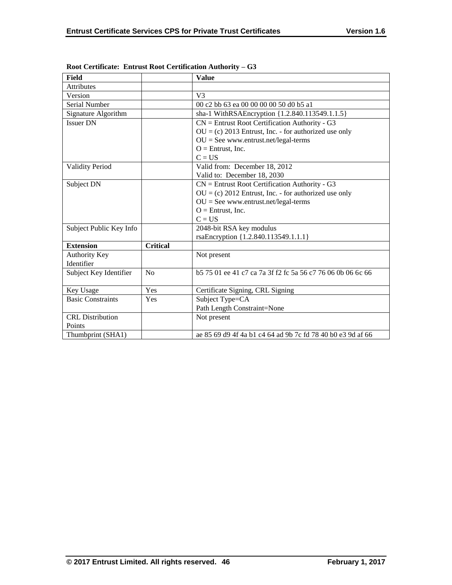| <b>Field</b>             |                 | <b>Value</b>                                                |
|--------------------------|-----------------|-------------------------------------------------------------|
| Attributes               |                 |                                                             |
| Version                  |                 | V <sup>3</sup>                                              |
| Serial Number            |                 | 00 c2 bb 63 ea 00 00 00 00 50 d0 b5 a1                      |
| Signature Algorithm      |                 | sha-1 WithRSAEncryption {1.2.840.113549.1.1.5}              |
| <b>Issuer DN</b>         |                 | $CN =$ Entrust Root Certification Authority - G3            |
|                          |                 | $OU = (c) 2013$ Entrust, Inc. - for authorized use only     |
|                          |                 | $OU = See$ www.entrust.net/legal-terms                      |
|                          |                 | $O =$ Entrust, Inc.                                         |
|                          |                 | $C = US$                                                    |
| <b>Validity Period</b>   |                 | Valid from: December 18, 2012                               |
|                          |                 | Valid to: December 18, 2030                                 |
| Subject DN               |                 | $CN =$ Entrust Root Certification Authority - G3            |
|                          |                 | $OU = (c) 2012$ Entrust, Inc. - for authorized use only     |
|                          |                 | $OU = See$ www.entrust.net/legal-terms                      |
|                          |                 | $O =$ Entrust, Inc.                                         |
|                          |                 | $C = US$                                                    |
| Subject Public Key Info  |                 | 2048-bit RSA key modulus                                    |
|                          |                 | rsaEncryption {1.2.840.113549.1.1.1}                        |
| <b>Extension</b>         | <b>Critical</b> |                                                             |
| <b>Authority Key</b>     |                 | Not present                                                 |
| Identifier               |                 |                                                             |
| Subject Key Identifier   | No              | b 575 01 ee 41 c7 ca 7a 3f f2 fc 5a 56 c7 76 06 0b 06 6c 66 |
|                          |                 |                                                             |
| Key Usage                | Yes             | Certificate Signing, CRL Signing                            |
| <b>Basic Constraints</b> | Yes             | Subject Type=CA                                             |
|                          |                 | Path Length Constraint=None                                 |
| <b>CRL</b> Distribution  |                 | Not present                                                 |
| Points                   |                 |                                                             |
| Thumbprint (SHA1)        |                 | ae 85 69 d9 4f 4a b1 c4 64 ad 9b 7c fd 78 40 b0 e3 9d af 66 |

**Root Certificate: Entrust Root Certification Authority – G3**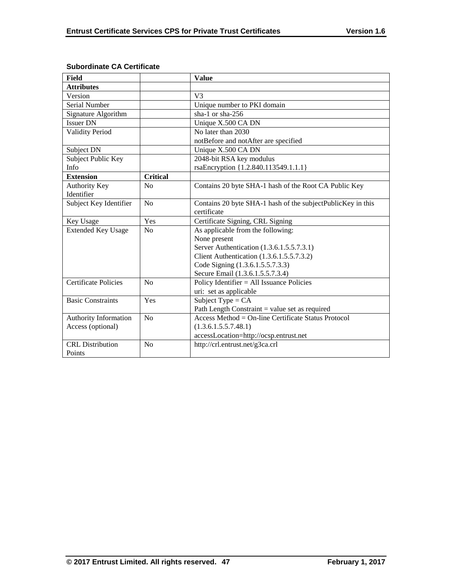| Field                       |                 | <b>Value</b>                                                |
|-----------------------------|-----------------|-------------------------------------------------------------|
| <b>Attributes</b>           |                 |                                                             |
| Version                     |                 | V <sub>3</sub>                                              |
| Serial Number               |                 | Unique number to PKI domain                                 |
| Signature Algorithm         |                 | sha-1 or sha- $256$                                         |
| <b>Issuer DN</b>            |                 | Unique X.500 CA DN                                          |
| <b>Validity Period</b>      |                 | No later than 2030                                          |
|                             |                 | notBefore and notAfter are specified                        |
| Subject DN                  |                 | Unique X.500 CA DN                                          |
| Subject Public Key          |                 | 2048-bit RSA key modulus                                    |
| Info                        |                 | rsaEncryption {1.2.840.113549.1.1.1}                        |
| <b>Extension</b>            | <b>Critical</b> |                                                             |
| <b>Authority Key</b>        | N <sub>0</sub>  | Contains 20 byte SHA-1 hash of the Root CA Public Key       |
| Identifier                  |                 |                                                             |
| Subject Key Identifier      | No              | Contains 20 byte SHA-1 hash of the subjectPublicKey in this |
|                             |                 | certificate                                                 |
| Key Usage                   | Yes             | Certificate Signing, CRL Signing                            |
| <b>Extended Key Usage</b>   | No              | As applicable from the following:                           |
|                             |                 | None present                                                |
|                             |                 | Server Authentication (1.3.6.1.5.5.7.3.1)                   |
|                             |                 | Client Authentication (1.3.6.1.5.5.7.3.2)                   |
|                             |                 | Code Signing (1.3.6.1.5.5.7.3.3)                            |
|                             |                 | Secure Email (1.3.6.1.5.5.7.3.4)                            |
| <b>Certificate Policies</b> | No              | Policy Identifier $=$ All Issuance Policies                 |
|                             |                 | uri: set as applicable                                      |
| <b>Basic Constraints</b>    | Yes             | Subject Type = $CA$                                         |
|                             |                 | Path Length Constraint = value set as required              |
| Authority Information       | N <sub>0</sub>  | Access Method = $On$ -line Certificate Status Protocol      |
| Access (optional)           |                 | (1.3.6.1.5.5.7.48.1)                                        |
|                             |                 | accessLocation=http://ocsp.entrust.net                      |
| <b>CRL</b> Distribution     | No              | http://crl.entrust.net/g3ca.crl                             |
| Points                      |                 |                                                             |

# **Subordinate CA Certificate**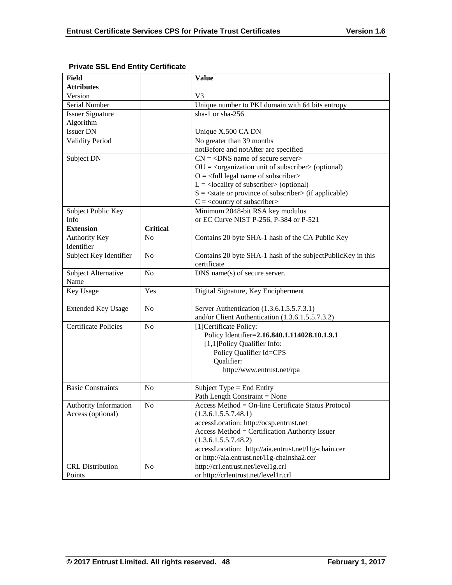| Field                       |                 | <b>Value</b>                                                             |
|-----------------------------|-----------------|--------------------------------------------------------------------------|
| <b>Attributes</b>           |                 |                                                                          |
| Version                     |                 | V <sub>3</sub>                                                           |
| Serial Number               |                 | Unique number to PKI domain with 64 bits entropy                         |
| <b>Issuer Signature</b>     |                 | sha-1 or sha-256                                                         |
| Algorithm                   |                 |                                                                          |
| <b>Issuer DN</b>            |                 | Unique X.500 CA DN                                                       |
| <b>Validity Period</b>      |                 | No greater than 39 months                                                |
|                             |                 | notBefore and notAfter are specified                                     |
| Subject DN                  |                 | $CN = <$ DNS name of secure server>                                      |
|                             |                 | $OU = coequation unit of subscripts (optional)$                          |
|                             |                 | $O = \frac{1}{2}$ legal name of subscriber                               |
|                             |                 | $L =$ <locality of="" subscriber=""> (optional)</locality>               |
|                             |                 | $S = \text{state}$ or province of subscriber $\text{in}$ (if applicable) |
|                             |                 | $C = \langle$ country of subscriber>                                     |
| Subject Public Key          |                 | Minimum 2048-bit RSA key modulus                                         |
| Info                        |                 | or EC Curve NIST P-256, P-384 or P-521                                   |
| <b>Extension</b>            | <b>Critical</b> |                                                                          |
| Authority Key<br>Identifier | N <sub>o</sub>  | Contains 20 byte SHA-1 hash of the CA Public Key                         |
| Subject Key Identifier      | N <sub>o</sub>  | Contains 20 byte SHA-1 hash of the subjectPublicKey in this              |
|                             |                 | certificate                                                              |
| Subject Alternative         | N <sub>o</sub>  | DNS name(s) of secure server.                                            |
| Name                        |                 |                                                                          |
| Key Usage                   | Yes             | Digital Signature, Key Encipherment                                      |
| <b>Extended Key Usage</b>   | No              | Server Authentication (1.3.6.1.5.5.7.3.1)                                |
|                             |                 | and/or Client Authentication (1.3.6.1.5.5.7.3.2)                         |
| <b>Certificate Policies</b> | N <sub>o</sub>  | [1] Certificate Policy:                                                  |
|                             |                 | Policy Identifier=2.16.840.1.114028.10.1.9.1                             |
|                             |                 | [1,1]Policy Qualifier Info:                                              |
|                             |                 | Policy Qualifier Id=CPS                                                  |
|                             |                 | Qualifier:                                                               |
|                             |                 | http://www.entrust.net/rpa                                               |
| <b>Basic Constraints</b>    | N <sub>o</sub>  | Subject Type = End Entity                                                |
|                             |                 | Path Length Constraint = None                                            |
| Authority Information       | No              | Access Method = On-line Certificate Status Protocol                      |
| Access (optional)           |                 | (1.3.6.1.5.5.7.48.1)                                                     |
|                             |                 | accessLocation: http://ocsp.entrust.net                                  |
|                             |                 | Access Method = Certification Authority Issuer                           |
|                             |                 | (1.3.6.1.5.5.7.48.2)                                                     |
|                             |                 | accessLocation: http://aia.entrust.net/l1g-chain.cer                     |
|                             |                 | or http://aia.entrust.net/11g-chainsha2.cer                              |
| <b>CRL</b> Distribution     | N <sub>0</sub>  | http://crl.entrust.net/level1g.crl                                       |
| Points                      |                 | or http://crlentrust.net/level1r.crl                                     |

# **Private SSL End Entity Certificate**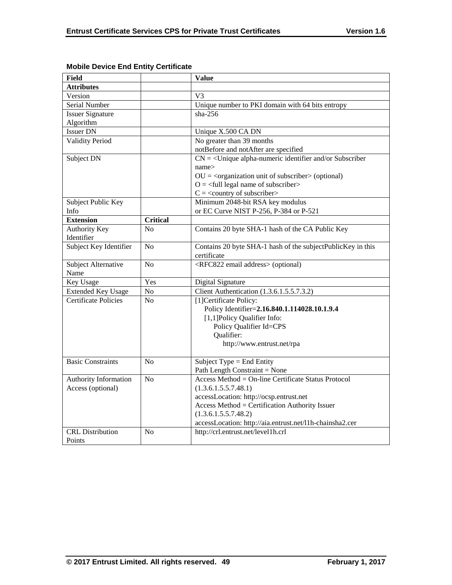| <b>Field</b>                |                 | <b>Value</b>                                                           |
|-----------------------------|-----------------|------------------------------------------------------------------------|
| <b>Attributes</b>           |                 |                                                                        |
| Version                     |                 | V <sub>3</sub>                                                         |
| Serial Number               |                 | Unique number to PKI domain with 64 bits entropy                       |
| <b>Issuer Signature</b>     |                 | $sha-256$                                                              |
| Algorithm                   |                 |                                                                        |
| <b>Issuer DN</b>            |                 | Unique X.500 CA DN                                                     |
| <b>Validity Period</b>      |                 | No greater than 39 months                                              |
|                             |                 | notBefore and notAfter are specified                                   |
| Subject DN                  |                 | $CN =$ < Unique alpha-numeric identifier and/or Subscriber             |
|                             |                 | name>                                                                  |
|                             |                 | $OU = corganization unit of subscripter > (optional)$                  |
|                             |                 | $O = \left\langle \text{full legal name of subscripter} \right\rangle$ |
|                             |                 | $C = \langle$ country of subscriber>                                   |
| Subject Public Key          |                 | Minimum 2048-bit RSA key modulus                                       |
| Info                        |                 | or EC Curve NIST P-256, P-384 or P-521                                 |
| <b>Extension</b>            | <b>Critical</b> |                                                                        |
| <b>Authority Key</b>        | No              | Contains 20 byte SHA-1 hash of the CA Public Key                       |
| Identifier                  |                 |                                                                        |
| Subject Key Identifier      | N <sub>o</sub>  | Contains 20 byte SHA-1 hash of the subjectPublicKey in this            |
|                             |                 | certificate                                                            |
| Subject Alternative         | N <sub>0</sub>  | <rfc822 address="" email=""> (optional)</rfc822>                       |
| Name                        |                 |                                                                        |
| Key Usage                   | Yes             | Digital Signature                                                      |
| <b>Extended Key Usage</b>   | N <sub>o</sub>  | Client Authentication (1.3.6.1.5.5.7.3.2)                              |
| <b>Certificate Policies</b> | N <sub>0</sub>  | [1]Certificate Policy:                                                 |
|                             |                 | Policy Identifier=2.16.840.1.114028.10.1.9.4                           |
|                             |                 | [1,1]Policy Qualifier Info:                                            |
|                             |                 | Policy Qualifier Id=CPS                                                |
|                             |                 | Qualifier:                                                             |
|                             |                 | http://www.entrust.net/rpa                                             |
| <b>Basic Constraints</b>    | N <sub>0</sub>  | Subject Type = End Entity                                              |
|                             |                 | Path Length Constraint = None                                          |
| Authority Information       | N <sub>o</sub>  | Access Method = On-line Certificate Status Protocol                    |
| Access (optional)           |                 | (1.3.6.1.5.5.7.48.1)                                                   |
|                             |                 | accessLocation: http://ocsp.entrust.net                                |
|                             |                 | Access Method = Certification Authority Issuer                         |
|                             |                 | (1.3.6.1.5.5.7.48.2)                                                   |
|                             |                 | accessLocation: http://aia.entrust.net/l1h-chainsha2.cer               |
| <b>CRL</b> Distribution     | N <sub>0</sub>  | http://crl.entrust.net/level1h.crl                                     |
| Points                      |                 |                                                                        |

# **Mobile Device End Entity Certificate**